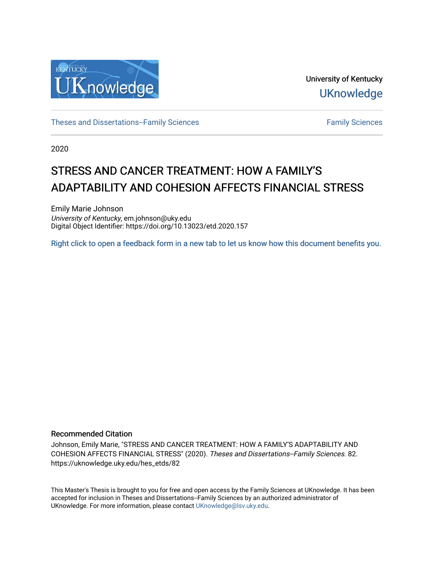

University of Kentucky **UKnowledge** 

[Theses and Dissertations--Family Sciences](https://uknowledge.uky.edu/hes_etds) [Family Sciences](https://uknowledge.uky.edu/hes) Family Sciences

2020

# STRESS AND CANCER TREATMENT: HOW A FAMILY'S ADAPTABILITY AND COHESION AFFECTS FINANCIAL STRESS

Emily Marie Johnson University of Kentucky, em.johnson@uky.edu Digital Object Identifier: https://doi.org/10.13023/etd.2020.157

[Right click to open a feedback form in a new tab to let us know how this document benefits you.](https://uky.az1.qualtrics.com/jfe/form/SV_9mq8fx2GnONRfz7)

# Recommended Citation

Johnson, Emily Marie, "STRESS AND CANCER TREATMENT: HOW A FAMILY'S ADAPTABILITY AND COHESION AFFECTS FINANCIAL STRESS" (2020). Theses and Dissertations--Family Sciences. 82. https://uknowledge.uky.edu/hes\_etds/82

This Master's Thesis is brought to you for free and open access by the Family Sciences at UKnowledge. It has been accepted for inclusion in Theses and Dissertations--Family Sciences by an authorized administrator of UKnowledge. For more information, please contact [UKnowledge@lsv.uky.edu](mailto:UKnowledge@lsv.uky.edu).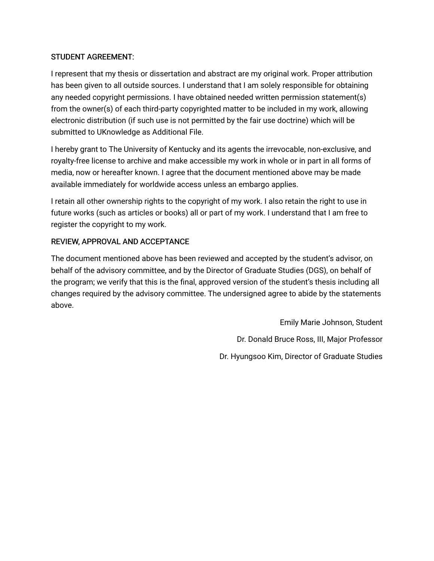# STUDENT AGREEMENT:

I represent that my thesis or dissertation and abstract are my original work. Proper attribution has been given to all outside sources. I understand that I am solely responsible for obtaining any needed copyright permissions. I have obtained needed written permission statement(s) from the owner(s) of each third-party copyrighted matter to be included in my work, allowing electronic distribution (if such use is not permitted by the fair use doctrine) which will be submitted to UKnowledge as Additional File.

I hereby grant to The University of Kentucky and its agents the irrevocable, non-exclusive, and royalty-free license to archive and make accessible my work in whole or in part in all forms of media, now or hereafter known. I agree that the document mentioned above may be made available immediately for worldwide access unless an embargo applies.

I retain all other ownership rights to the copyright of my work. I also retain the right to use in future works (such as articles or books) all or part of my work. I understand that I am free to register the copyright to my work.

# REVIEW, APPROVAL AND ACCEPTANCE

The document mentioned above has been reviewed and accepted by the student's advisor, on behalf of the advisory committee, and by the Director of Graduate Studies (DGS), on behalf of the program; we verify that this is the final, approved version of the student's thesis including all changes required by the advisory committee. The undersigned agree to abide by the statements above.

> Emily Marie Johnson, Student Dr. Donald Bruce Ross, III, Major Professor Dr. Hyungsoo Kim, Director of Graduate Studies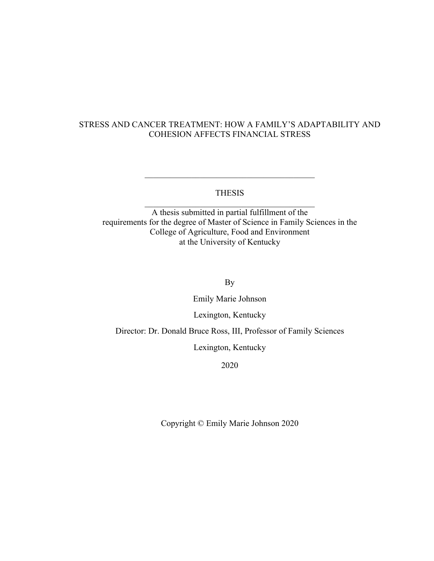# STRESS AND CANCER TREATMENT: HOW A FAMILY'S ADAPTABILITY AND COHESION AFFECTS FINANCIAL STRESS

# THESIS

A thesis submitted in partial fulfillment of the requirements for the degree of Master of Science in Family Sciences in the College of Agriculture, Food and Environment at the University of Kentucky

By

Emily Marie Johnson

Lexington, Kentucky

Director: Dr. Donald Bruce Ross, III, Professor of Family Sciences

Lexington, Kentucky

2020

Copyright © Emily Marie Johnson 2020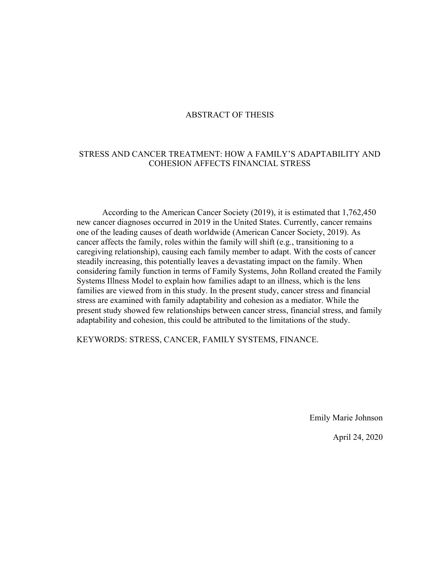# ABSTRACT OF THESIS

# STRESS AND CANCER TREATMENT: HOW A FAMILY'S ADAPTABILITY AND COHESION AFFECTS FINANCIAL STRESS

According to the American Cancer Society (2019), it is estimated that 1,762,450 new cancer diagnoses occurred in 2019 in the United States. Currently, cancer remains one of the leading causes of death worldwide (American Cancer Society, 2019). As cancer affects the family, roles within the family will shift (e.g., transitioning to a caregiving relationship), causing each family member to adapt. With the costs of cancer steadily increasing, this potentially leaves a devastating impact on the family. When considering family function in terms of Family Systems, John Rolland created the Family Systems Illness Model to explain how families adapt to an illness, which is the lens families are viewed from in this study. In the present study, cancer stress and financial stress are examined with family adaptability and cohesion as a mediator. While the present study showed few relationships between cancer stress, financial stress, and family adaptability and cohesion, this could be attributed to the limitations of the study.

KEYWORDS: STRESS, CANCER, FAMILY SYSTEMS, FINANCE.

Emily Marie Johnson

April 24, 2020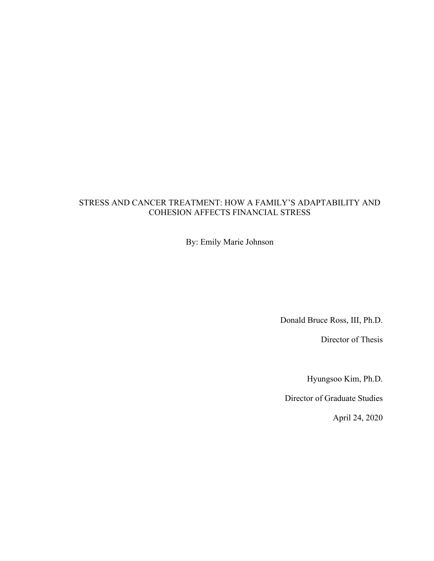# STRESS AND CANCER TREATMENT: HOW A FAMILY'S ADAPTABILITY AND COHESION AFFECTS FINANCIAL STRESS

By: Emily Marie Johnson

Donald Bruce Ross, III, Ph.D.

Director of Thesis

Hyungsoo Kim, Ph.D.

Director of Graduate Studies

April 24, 2020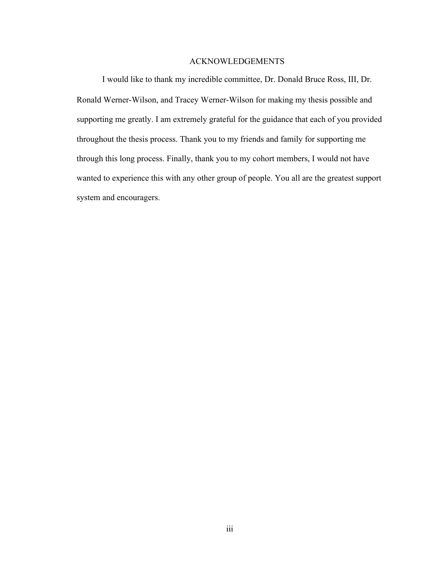# ACKNOWLEDGEMENTS

I would like to thank my incredible committee, Dr. Donald Bruce Ross, III, Dr. Ronald Werner-Wilson, and Tracey Werner-Wilson for making my thesis possible and supporting me greatly. I am extremely grateful for the guidance that each of you provided throughout the thesis process. Thank you to my friends and family for supporting me through this long process. Finally, thank you to my cohort members, I would not have wanted to experience this with any other group of people. You all are the greatest support system and encouragers.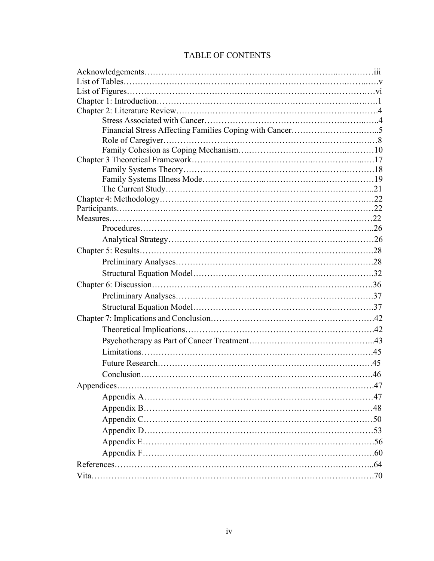| <b>TABLE OF CONTENTS</b> |  |  |
|--------------------------|--|--|
|--------------------------|--|--|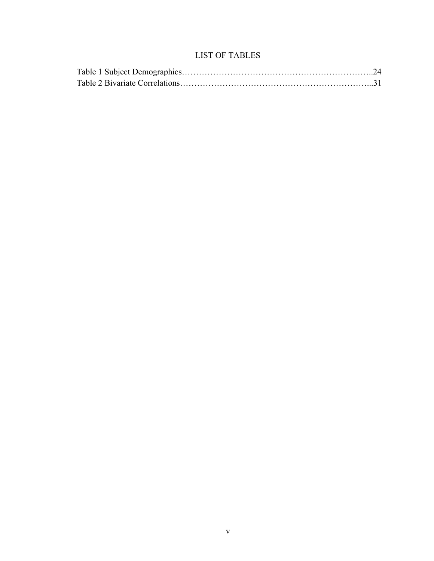# LIST OF TABLES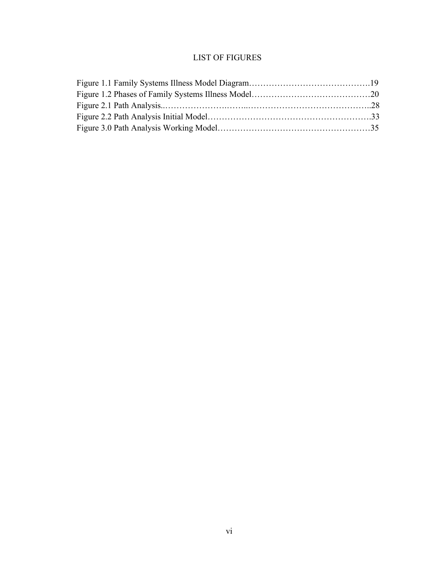# LIST OF FIGURES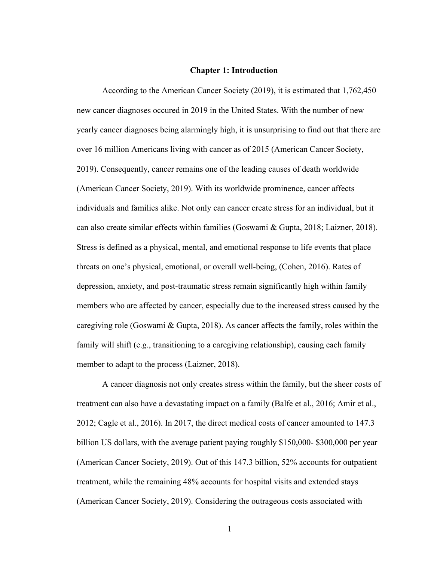### **Chapter 1: Introduction**

According to the American Cancer Society (2019), it is estimated that 1,762,450 new cancer diagnoses occured in 2019 in the United States. With the number of new yearly cancer diagnoses being alarmingly high, it is unsurprising to find out that there are over 16 million Americans living with cancer as of 2015 (American Cancer Society, 2019). Consequently, cancer remains one of the leading causes of death worldwide (American Cancer Society, 2019). With its worldwide prominence, cancer affects individuals and families alike. Not only can cancer create stress for an individual, but it can also create similar effects within families (Goswami & Gupta, 2018; Laizner, 2018). Stress is defined as a physical, mental, and emotional response to life events that place threats on one's physical, emotional, or overall well-being, (Cohen, 2016). Rates of depression, anxiety, and post-traumatic stress remain significantly high within family members who are affected by cancer, especially due to the increased stress caused by the caregiving role (Goswami & Gupta, 2018). As cancer affects the family, roles within the family will shift (e.g., transitioning to a caregiving relationship), causing each family member to adapt to the process (Laizner, 2018).

A cancer diagnosis not only creates stress within the family, but the sheer costs of treatment can also have a devastating impact on a family (Balfe et al., 2016; Amir et al., 2012; Cagle et al., 2016). In 2017, the direct medical costs of cancer amounted to 147.3 billion US dollars, with the average patient paying roughly \$150,000- \$300,000 per year (American Cancer Society, 2019). Out of this 147.3 billion, 52% accounts for outpatient treatment, while the remaining 48% accounts for hospital visits and extended stays (American Cancer Society, 2019). Considering the outrageous costs associated with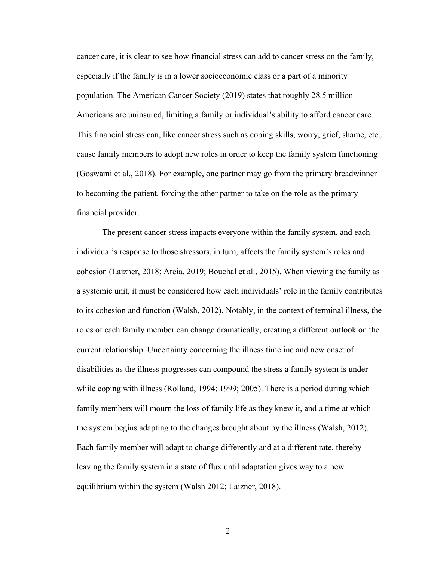cancer care, it is clear to see how financial stress can add to cancer stress on the family, especially if the family is in a lower socioeconomic class or a part of a minority population. The American Cancer Society (2019) states that roughly 28.5 million Americans are uninsured, limiting a family or individual's ability to afford cancer care. This financial stress can, like cancer stress such as coping skills, worry, grief, shame, etc., cause family members to adopt new roles in order to keep the family system functioning (Goswami et al., 2018). For example, one partner may go from the primary breadwinner to becoming the patient, forcing the other partner to take on the role as the primary financial provider.

The present cancer stress impacts everyone within the family system, and each individual's response to those stressors, in turn, affects the family system's roles and cohesion (Laizner, 2018; Areia, 2019; Bouchal et al., 2015). When viewing the family as a systemic unit, it must be considered how each individuals' role in the family contributes to its cohesion and function (Walsh, 2012). Notably, in the context of terminal illness, the roles of each family member can change dramatically, creating a different outlook on the current relationship. Uncertainty concerning the illness timeline and new onset of disabilities as the illness progresses can compound the stress a family system is under while coping with illness (Rolland, 1994; 1999; 2005). There is a period during which family members will mourn the loss of family life as they knew it, and a time at which the system begins adapting to the changes brought about by the illness (Walsh, 2012). Each family member will adapt to change differently and at a different rate, thereby leaving the family system in a state of flux until adaptation gives way to a new equilibrium within the system (Walsh 2012; Laizner, 2018).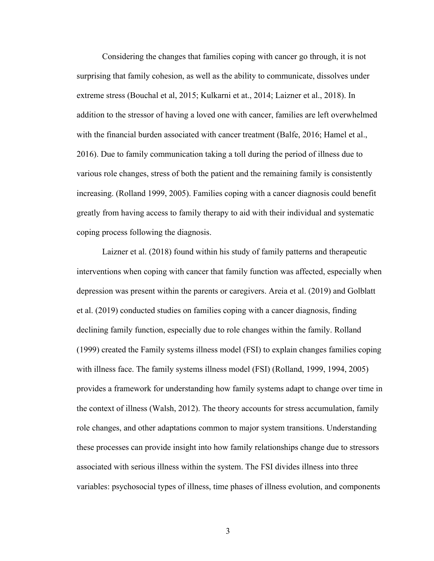Considering the changes that families coping with cancer go through, it is not surprising that family cohesion, as well as the ability to communicate, dissolves under extreme stress (Bouchal et al, 2015; Kulkarni et at., 2014; Laizner et al., 2018). In addition to the stressor of having a loved one with cancer, families are left overwhelmed with the financial burden associated with cancer treatment (Balfe, 2016; Hamel et al., 2016). Due to family communication taking a toll during the period of illness due to various role changes, stress of both the patient and the remaining family is consistently increasing. (Rolland 1999, 2005). Families coping with a cancer diagnosis could benefit greatly from having access to family therapy to aid with their individual and systematic coping process following the diagnosis.

Laizner et al. (2018) found within his study of family patterns and therapeutic interventions when coping with cancer that family function was affected, especially when depression was present within the parents or caregivers. Areia et al. (2019) and Golblatt et al. (2019) conducted studies on families coping with a cancer diagnosis, finding declining family function, especially due to role changes within the family. Rolland (1999) created the Family systems illness model (FSI) to explain changes families coping with illness face. The family systems illness model (FSI) (Rolland, 1999, 1994, 2005) provides a framework for understanding how family systems adapt to change over time in the context of illness (Walsh, 2012). The theory accounts for stress accumulation, family role changes, and other adaptations common to major system transitions. Understanding these processes can provide insight into how family relationships change due to stressors associated with serious illness within the system. The FSI divides illness into three variables: psychosocial types of illness, time phases of illness evolution, and components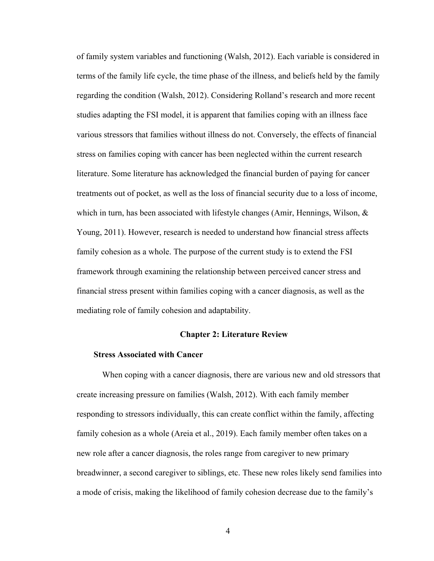of family system variables and functioning (Walsh, 2012). Each variable is considered in terms of the family life cycle, the time phase of the illness, and beliefs held by the family regarding the condition (Walsh, 2012). Considering Rolland's research and more recent studies adapting the FSI model, it is apparent that families coping with an illness face various stressors that families without illness do not. Conversely, the effects of financial stress on families coping with cancer has been neglected within the current research literature. Some literature has acknowledged the financial burden of paying for cancer treatments out of pocket, as well as the loss of financial security due to a loss of income, which in turn, has been associated with lifestyle changes (Amir, Hennings, Wilson,  $\&$ Young, 2011). However, research is needed to understand how financial stress affects family cohesion as a whole. The purpose of the current study is to extend the FSI framework through examining the relationship between perceived cancer stress and financial stress present within families coping with a cancer diagnosis, as well as the mediating role of family cohesion and adaptability.

### **Chapter 2: Literature Review**

# **Stress Associated with Cancer**

When coping with a cancer diagnosis, there are various new and old stressors that create increasing pressure on families (Walsh, 2012). With each family member responding to stressors individually, this can create conflict within the family, affecting family cohesion as a whole (Areia et al., 2019). Each family member often takes on a new role after a cancer diagnosis, the roles range from caregiver to new primary breadwinner, a second caregiver to siblings, etc. These new roles likely send families into a mode of crisis, making the likelihood of family cohesion decrease due to the family's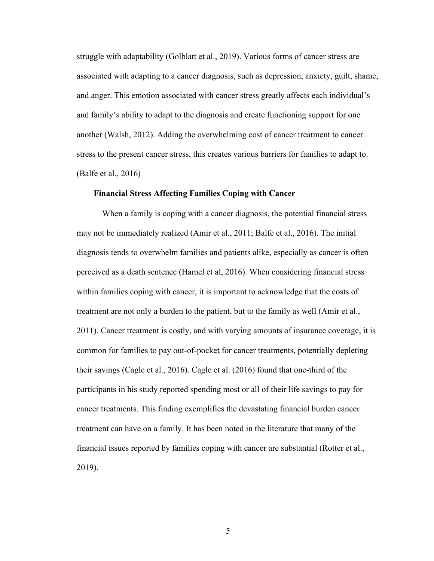struggle with adaptability (Golblatt et al., 2019). Various forms of cancer stress are associated with adapting to a cancer diagnosis, such as depression, anxiety, guilt, shame, and anger. This emotion associated with cancer stress greatly affects each individual's and family's ability to adapt to the diagnosis and create functioning support for one another (Walsh, 2012). Adding the overwhelming cost of cancer treatment to cancer stress to the present cancer stress, this creates various barriers for families to adapt to. (Balfe et al., 2016)

#### **Financial Stress Affecting Families Coping with Cancer**

When a family is coping with a cancer diagnosis, the potential financial stress may not be immediately realized (Amir et al., 2011; Balfe et al., 2016). The initial diagnosis tends to overwhelm families and patients alike, especially as cancer is often perceived as a death sentence (Hamel et al, 2016). When considering financial stress within families coping with cancer, it is important to acknowledge that the costs of treatment are not only a burden to the patient, but to the family as well (Amir et al., 2011). Cancer treatment is costly, and with varying amounts of insurance coverage, it is common for families to pay out-of-pocket for cancer treatments, potentially depleting their savings (Cagle et al., 2016). Cagle et al. (2016) found that one-third of the participants in his study reported spending most or all of their life savings to pay for cancer treatments. This finding exemplifies the devastating financial burden cancer treatment can have on a family. It has been noted in the literature that many of the financial issues reported by families coping with cancer are substantial (Rotter et al., 2019).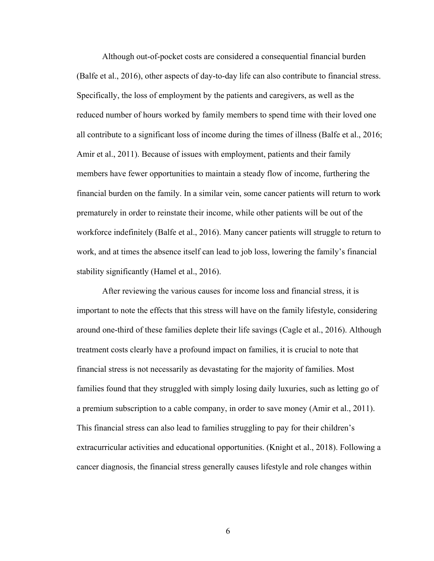Although out-of-pocket costs are considered a consequential financial burden (Balfe et al., 2016), other aspects of day-to-day life can also contribute to financial stress. Specifically, the loss of employment by the patients and caregivers, as well as the reduced number of hours worked by family members to spend time with their loved one all contribute to a significant loss of income during the times of illness (Balfe et al., 2016; Amir et al., 2011). Because of issues with employment, patients and their family members have fewer opportunities to maintain a steady flow of income, furthering the financial burden on the family. In a similar vein, some cancer patients will return to work prematurely in order to reinstate their income, while other patients will be out of the workforce indefinitely (Balfe et al., 2016). Many cancer patients will struggle to return to work, and at times the absence itself can lead to job loss, lowering the family's financial stability significantly (Hamel et al., 2016).

After reviewing the various causes for income loss and financial stress, it is important to note the effects that this stress will have on the family lifestyle, considering around one-third of these families deplete their life savings (Cagle et al., 2016). Although treatment costs clearly have a profound impact on families, it is crucial to note that financial stress is not necessarily as devastating for the majority of families. Most families found that they struggled with simply losing daily luxuries, such as letting go of a premium subscription to a cable company, in order to save money (Amir et al., 2011). This financial stress can also lead to families struggling to pay for their children's extracurricular activities and educational opportunities. (Knight et al., 2018). Following a cancer diagnosis, the financial stress generally causes lifestyle and role changes within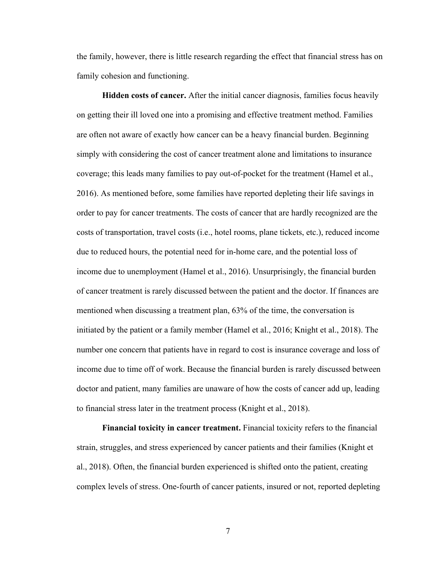the family, however, there is little research regarding the effect that financial stress has on family cohesion and functioning.

**Hidden costs of cancer.** After the initial cancer diagnosis, families focus heavily on getting their ill loved one into a promising and effective treatment method. Families are often not aware of exactly how cancer can be a heavy financial burden. Beginning simply with considering the cost of cancer treatment alone and limitations to insurance coverage; this leads many families to pay out-of-pocket for the treatment (Hamel et al., 2016). As mentioned before, some families have reported depleting their life savings in order to pay for cancer treatments. The costs of cancer that are hardly recognized are the costs of transportation, travel costs (i.e., hotel rooms, plane tickets, etc.), reduced income due to reduced hours, the potential need for in-home care, and the potential loss of income due to unemployment (Hamel et al., 2016). Unsurprisingly, the financial burden of cancer treatment is rarely discussed between the patient and the doctor. If finances are mentioned when discussing a treatment plan, 63% of the time, the conversation is initiated by the patient or a family member (Hamel et al., 2016; Knight et al., 2018). The number one concern that patients have in regard to cost is insurance coverage and loss of income due to time off of work. Because the financial burden is rarely discussed between doctor and patient, many families are unaware of how the costs of cancer add up, leading to financial stress later in the treatment process (Knight et al., 2018).

**Financial toxicity in cancer treatment.** Financial toxicity refers to the financial strain, struggles, and stress experienced by cancer patients and their families (Knight et al., 2018). Often, the financial burden experienced is shifted onto the patient, creating complex levels of stress. One-fourth of cancer patients, insured or not, reported depleting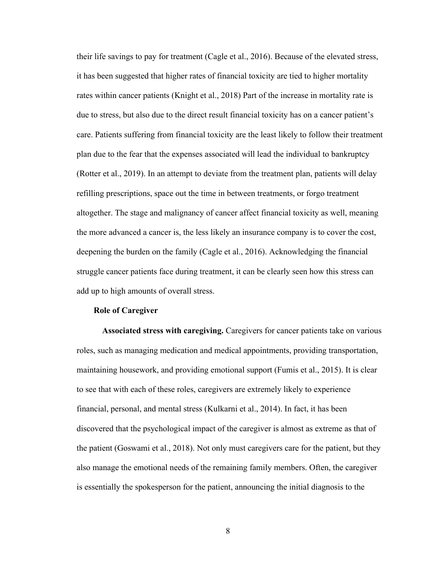their life savings to pay for treatment (Cagle et al., 2016). Because of the elevated stress, it has been suggested that higher rates of financial toxicity are tied to higher mortality rates within cancer patients (Knight et al., 2018) Part of the increase in mortality rate is due to stress, but also due to the direct result financial toxicity has on a cancer patient's care. Patients suffering from financial toxicity are the least likely to follow their treatment plan due to the fear that the expenses associated will lead the individual to bankruptcy (Rotter et al., 2019). In an attempt to deviate from the treatment plan, patients will delay refilling prescriptions, space out the time in between treatments, or forgo treatment altogether. The stage and malignancy of cancer affect financial toxicity as well, meaning the more advanced a cancer is, the less likely an insurance company is to cover the cost, deepening the burden on the family (Cagle et al., 2016). Acknowledging the financial struggle cancer patients face during treatment, it can be clearly seen how this stress can add up to high amounts of overall stress.

#### **Role of Caregiver**

**Associated stress with caregiving.** Caregivers for cancer patients take on various roles, such as managing medication and medical appointments, providing transportation, maintaining housework, and providing emotional support (Fumis et al., 2015). It is clear to see that with each of these roles, caregivers are extremely likely to experience financial, personal, and mental stress (Kulkarni et al., 2014). In fact, it has been discovered that the psychological impact of the caregiver is almost as extreme as that of the patient (Goswami et al., 2018). Not only must caregivers care for the patient, but they also manage the emotional needs of the remaining family members. Often, the caregiver is essentially the spokesperson for the patient, announcing the initial diagnosis to the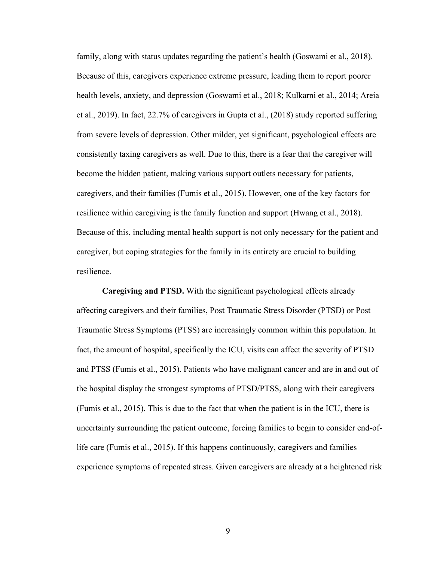family, along with status updates regarding the patient's health (Goswami et al., 2018). Because of this, caregivers experience extreme pressure, leading them to report poorer health levels, anxiety, and depression (Goswami et al., 2018; Kulkarni et al., 2014; Areia et al., 2019). In fact, 22.7% of caregivers in Gupta et al., (2018) study reported suffering from severe levels of depression. Other milder, yet significant, psychological effects are consistently taxing caregivers as well. Due to this, there is a fear that the caregiver will become the hidden patient, making various support outlets necessary for patients, caregivers, and their families (Fumis et al., 2015). However, one of the key factors for resilience within caregiving is the family function and support (Hwang et al., 2018). Because of this, including mental health support is not only necessary for the patient and caregiver, but coping strategies for the family in its entirety are crucial to building resilience.

**Caregiving and PTSD.** With the significant psychological effects already affecting caregivers and their families, Post Traumatic Stress Disorder (PTSD) or Post Traumatic Stress Symptoms (PTSS) are increasingly common within this population. In fact, the amount of hospital, specifically the ICU, visits can affect the severity of PTSD and PTSS (Fumis et al., 2015). Patients who have malignant cancer and are in and out of the hospital display the strongest symptoms of PTSD/PTSS, along with their caregivers (Fumis et al., 2015). This is due to the fact that when the patient is in the ICU, there is uncertainty surrounding the patient outcome, forcing families to begin to consider end-oflife care (Fumis et al., 2015). If this happens continuously, caregivers and families experience symptoms of repeated stress. Given caregivers are already at a heightened risk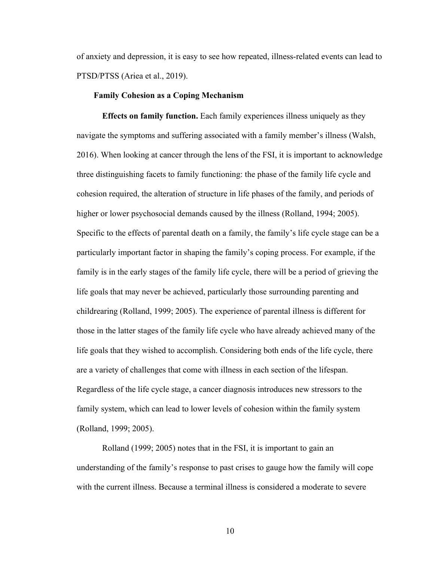of anxiety and depression, it is easy to see how repeated, illness-related events can lead to PTSD/PTSS (Ariea et al., 2019).

#### **Family Cohesion as a Coping Mechanism**

**Effects on family function.** Each family experiences illness uniquely as they navigate the symptoms and suffering associated with a family member's illness (Walsh, 2016). When looking at cancer through the lens of the FSI, it is important to acknowledge three distinguishing facets to family functioning: the phase of the family life cycle and cohesion required, the alteration of structure in life phases of the family, and periods of higher or lower psychosocial demands caused by the illness (Rolland, 1994; 2005). Specific to the effects of parental death on a family, the family's life cycle stage can be a particularly important factor in shaping the family's coping process. For example, if the family is in the early stages of the family life cycle, there will be a period of grieving the life goals that may never be achieved, particularly those surrounding parenting and childrearing (Rolland, 1999; 2005). The experience of parental illness is different for those in the latter stages of the family life cycle who have already achieved many of the life goals that they wished to accomplish. Considering both ends of the life cycle, there are a variety of challenges that come with illness in each section of the lifespan. Regardless of the life cycle stage, a cancer diagnosis introduces new stressors to the family system, which can lead to lower levels of cohesion within the family system (Rolland, 1999; 2005).

Rolland (1999; 2005) notes that in the FSI, it is important to gain an understanding of the family's response to past crises to gauge how the family will cope with the current illness. Because a terminal illness is considered a moderate to severe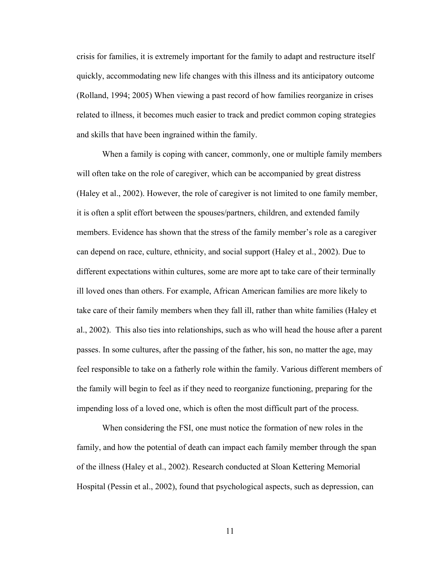crisis for families, it is extremely important for the family to adapt and restructure itself quickly, accommodating new life changes with this illness and its anticipatory outcome (Rolland, 1994; 2005) When viewing a past record of how families reorganize in crises related to illness, it becomes much easier to track and predict common coping strategies and skills that have been ingrained within the family.

When a family is coping with cancer, commonly, one or multiple family members will often take on the role of caregiver, which can be accompanied by great distress (Haley et al., 2002). However, the role of caregiver is not limited to one family member, it is often a split effort between the spouses/partners, children, and extended family members. Evidence has shown that the stress of the family member's role as a caregiver can depend on race, culture, ethnicity, and social support (Haley et al., 2002). Due to different expectations within cultures, some are more apt to take care of their terminally ill loved ones than others. For example, African American families are more likely to take care of their family members when they fall ill, rather than white families (Haley et al., 2002). This also ties into relationships, such as who will head the house after a parent passes. In some cultures, after the passing of the father, his son, no matter the age, may feel responsible to take on a fatherly role within the family. Various different members of the family will begin to feel as if they need to reorganize functioning, preparing for the impending loss of a loved one, which is often the most difficult part of the process.

When considering the FSI, one must notice the formation of new roles in the family, and how the potential of death can impact each family member through the span of the illness (Haley et al., 2002). Research conducted at Sloan Kettering Memorial Hospital (Pessin et al., 2002), found that psychological aspects, such as depression, can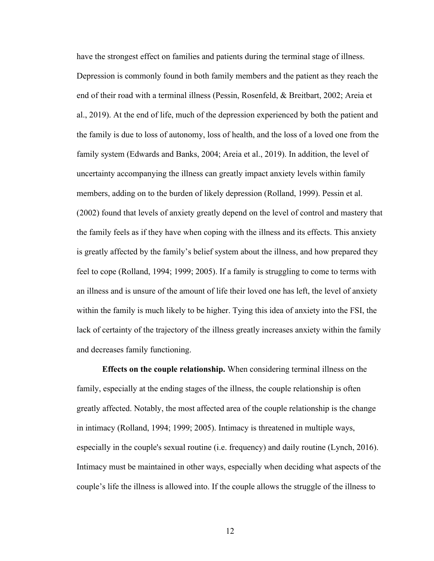have the strongest effect on families and patients during the terminal stage of illness. Depression is commonly found in both family members and the patient as they reach the end of their road with a terminal illness (Pessin, Rosenfeld, & Breitbart, 2002; Areia et al., 2019). At the end of life, much of the depression experienced by both the patient and the family is due to loss of autonomy, loss of health, and the loss of a loved one from the family system (Edwards and Banks, 2004; Areia et al., 2019). In addition, the level of uncertainty accompanying the illness can greatly impact anxiety levels within family members, adding on to the burden of likely depression (Rolland, 1999). Pessin et al. (2002) found that levels of anxiety greatly depend on the level of control and mastery that the family feels as if they have when coping with the illness and its effects. This anxiety is greatly affected by the family's belief system about the illness, and how prepared they feel to cope (Rolland, 1994; 1999; 2005). If a family is struggling to come to terms with an illness and is unsure of the amount of life their loved one has left, the level of anxiety within the family is much likely to be higher. Tying this idea of anxiety into the FSI, the lack of certainty of the trajectory of the illness greatly increases anxiety within the family and decreases family functioning.

**Effects on the couple relationship.** When considering terminal illness on the family, especially at the ending stages of the illness, the couple relationship is often greatly affected. Notably, the most affected area of the couple relationship is the change in intimacy (Rolland, 1994; 1999; 2005). Intimacy is threatened in multiple ways, especially in the couple's sexual routine (i.e. frequency) and daily routine (Lynch, 2016). Intimacy must be maintained in other ways, especially when deciding what aspects of the couple's life the illness is allowed into. If the couple allows the struggle of the illness to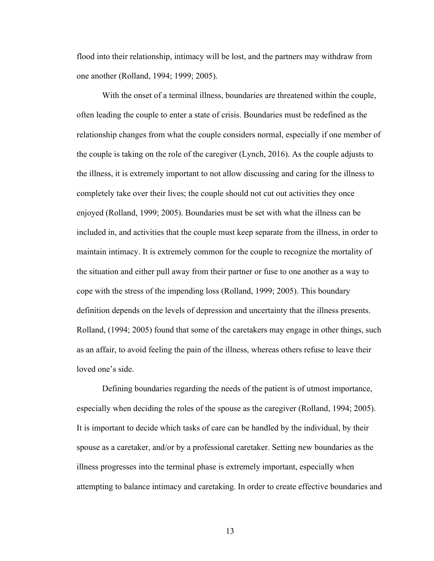flood into their relationship, intimacy will be lost, and the partners may withdraw from one another (Rolland, 1994; 1999; 2005).

With the onset of a terminal illness, boundaries are threatened within the couple, often leading the couple to enter a state of crisis. Boundaries must be redefined as the relationship changes from what the couple considers normal, especially if one member of the couple is taking on the role of the caregiver (Lynch, 2016). As the couple adjusts to the illness, it is extremely important to not allow discussing and caring for the illness to completely take over their lives; the couple should not cut out activities they once enjoyed (Rolland, 1999; 2005). Boundaries must be set with what the illness can be included in, and activities that the couple must keep separate from the illness, in order to maintain intimacy. It is extremely common for the couple to recognize the mortality of the situation and either pull away from their partner or fuse to one another as a way to cope with the stress of the impending loss (Rolland, 1999; 2005). This boundary definition depends on the levels of depression and uncertainty that the illness presents. Rolland, (1994; 2005) found that some of the caretakers may engage in other things, such as an affair, to avoid feeling the pain of the illness, whereas others refuse to leave their loved one's side.

Defining boundaries regarding the needs of the patient is of utmost importance, especially when deciding the roles of the spouse as the caregiver (Rolland, 1994; 2005). It is important to decide which tasks of care can be handled by the individual, by their spouse as a caretaker, and/or by a professional caretaker. Setting new boundaries as the illness progresses into the terminal phase is extremely important, especially when attempting to balance intimacy and caretaking. In order to create effective boundaries and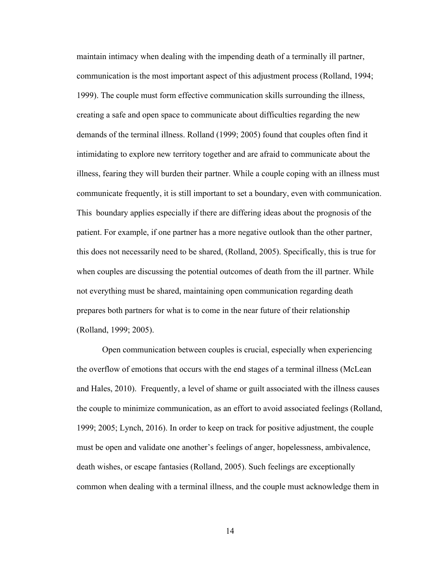maintain intimacy when dealing with the impending death of a terminally ill partner, communication is the most important aspect of this adjustment process (Rolland, 1994; 1999). The couple must form effective communication skills surrounding the illness, creating a safe and open space to communicate about difficulties regarding the new demands of the terminal illness. Rolland (1999; 2005) found that couples often find it intimidating to explore new territory together and are afraid to communicate about the illness, fearing they will burden their partner. While a couple coping with an illness must communicate frequently, it is still important to set a boundary, even with communication. This boundary applies especially if there are differing ideas about the prognosis of the patient. For example, if one partner has a more negative outlook than the other partner, this does not necessarily need to be shared, (Rolland, 2005). Specifically, this is true for when couples are discussing the potential outcomes of death from the ill partner. While not everything must be shared, maintaining open communication regarding death prepares both partners for what is to come in the near future of their relationship (Rolland, 1999; 2005).

Open communication between couples is crucial, especially when experiencing the overflow of emotions that occurs with the end stages of a terminal illness (McLean and Hales, 2010). Frequently, a level of shame or guilt associated with the illness causes the couple to minimize communication, as an effort to avoid associated feelings (Rolland, 1999; 2005; Lynch, 2016). In order to keep on track for positive adjustment, the couple must be open and validate one another's feelings of anger, hopelessness, ambivalence, death wishes, or escape fantasies (Rolland, 2005). Such feelings are exceptionally common when dealing with a terminal illness, and the couple must acknowledge them in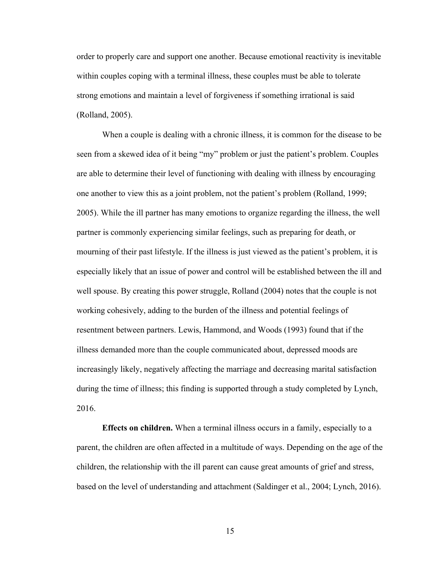order to properly care and support one another. Because emotional reactivity is inevitable within couples coping with a terminal illness, these couples must be able to tolerate strong emotions and maintain a level of forgiveness if something irrational is said (Rolland, 2005).

When a couple is dealing with a chronic illness, it is common for the disease to be seen from a skewed idea of it being "my" problem or just the patient's problem. Couples are able to determine their level of functioning with dealing with illness by encouraging one another to view this as a joint problem, not the patient's problem (Rolland, 1999; 2005). While the ill partner has many emotions to organize regarding the illness, the well partner is commonly experiencing similar feelings, such as preparing for death, or mourning of their past lifestyle. If the illness is just viewed as the patient's problem, it is especially likely that an issue of power and control will be established between the ill and well spouse. By creating this power struggle, Rolland (2004) notes that the couple is not working cohesively, adding to the burden of the illness and potential feelings of resentment between partners. Lewis, Hammond, and Woods (1993) found that if the illness demanded more than the couple communicated about, depressed moods are increasingly likely, negatively affecting the marriage and decreasing marital satisfaction during the time of illness; this finding is supported through a study completed by Lynch, 2016.

**Effects on children.** When a terminal illness occurs in a family, especially to a parent, the children are often affected in a multitude of ways. Depending on the age of the children, the relationship with the ill parent can cause great amounts of grief and stress, based on the level of understanding and attachment (Saldinger et al., 2004; Lynch, 2016).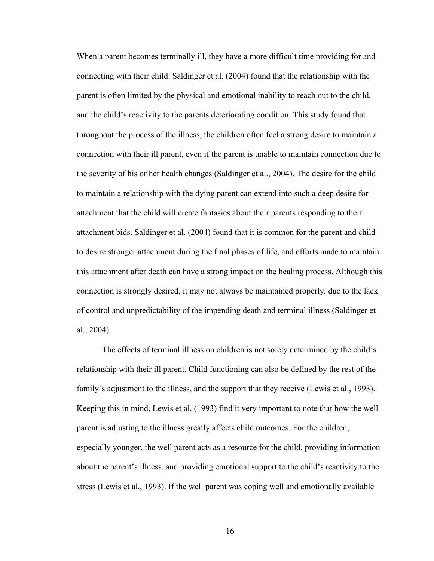When a parent becomes terminally ill, they have a more difficult time providing for and connecting with their child. Saldinger et al. (2004) found that the relationship with the parent is often limited by the physical and emotional inability to reach out to the child, and the child's reactivity to the parents deteriorating condition. This study found that throughout the process of the illness, the children often feel a strong desire to maintain a connection with their ill parent, even if the parent is unable to maintain connection due to the severity of his or her health changes (Saldinger et al., 2004). The desire for the child to maintain a relationship with the dying parent can extend into such a deep desire for attachment that the child will create fantasies about their parents responding to their attachment bids. Saldinger et al. (2004) found that it is common for the parent and child to desire stronger attachment during the final phases of life, and efforts made to maintain this attachment after death can have a strong impact on the healing process. Although this connection is strongly desired, it may not always be maintained properly, due to the lack of control and unpredictability of the impending death and terminal illness (Saldinger et al., 2004).

The effects of terminal illness on children is not solely determined by the child's relationship with their ill parent. Child functioning can also be defined by the rest of the family's adjustment to the illness, and the support that they receive (Lewis et al., 1993). Keeping this in mind, Lewis et al. (1993) find it very important to note that how the well parent is adjusting to the illness greatly affects child outcomes. For the children, especially younger, the well parent acts as a resource for the child, providing information about the parent's illness, and providing emotional support to the child's reactivity to the stress (Lewis et al., 1993). If the well parent was coping well and emotionally available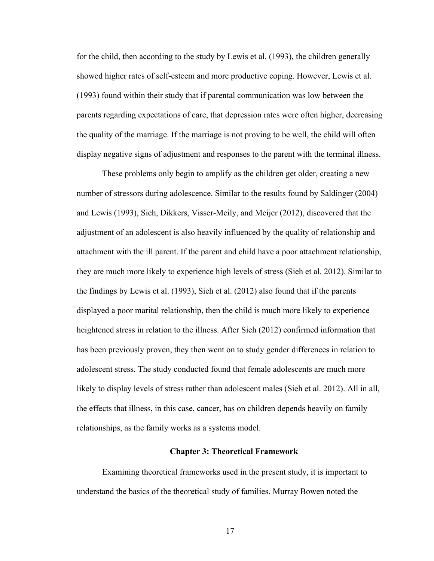for the child, then according to the study by Lewis et al. (1993), the children generally showed higher rates of self-esteem and more productive coping. However, Lewis et al. (1993) found within their study that if parental communication was low between the parents regarding expectations of care, that depression rates were often higher, decreasing the quality of the marriage. If the marriage is not proving to be well, the child will often display negative signs of adjustment and responses to the parent with the terminal illness.

These problems only begin to amplify as the children get older, creating a new number of stressors during adolescence. Similar to the results found by Saldinger (2004) and Lewis (1993), Sieh, Dikkers, Visser-Meily, and Meijer (2012), discovered that the adjustment of an adolescent is also heavily influenced by the quality of relationship and attachment with the ill parent. If the parent and child have a poor attachment relationship, they are much more likely to experience high levels of stress (Sieh et al. 2012). Similar to the findings by Lewis et al. (1993), Sieh et al. (2012) also found that if the parents displayed a poor marital relationship, then the child is much more likely to experience heightened stress in relation to the illness. After Sieh (2012) confirmed information that has been previously proven, they then went on to study gender differences in relation to adolescent stress. The study conducted found that female adolescents are much more likely to display levels of stress rather than adolescent males (Sieh et al. 2012). All in all, the effects that illness, in this case, cancer, has on children depends heavily on family relationships, as the family works as a systems model.

# **Chapter 3: Theoretical Framework**

Examining theoretical frameworks used in the present study, it is important to understand the basics of the theoretical study of families. Murray Bowen noted the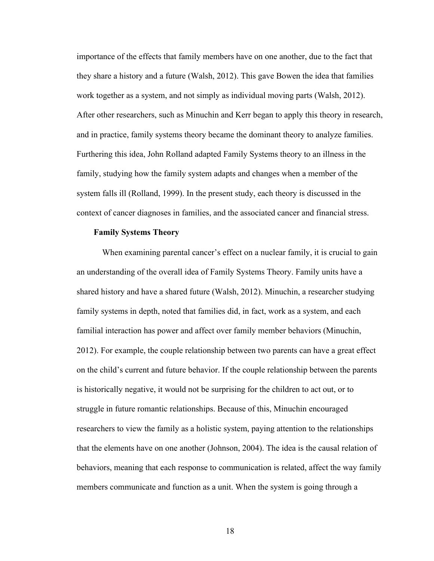importance of the effects that family members have on one another, due to the fact that they share a history and a future (Walsh, 2012). This gave Bowen the idea that families work together as a system, and not simply as individual moving parts (Walsh, 2012). After other researchers, such as Minuchin and Kerr began to apply this theory in research, and in practice, family systems theory became the dominant theory to analyze families. Furthering this idea, John Rolland adapted Family Systems theory to an illness in the family, studying how the family system adapts and changes when a member of the system falls ill (Rolland, 1999). In the present study, each theory is discussed in the context of cancer diagnoses in families, and the associated cancer and financial stress.

#### **Family Systems Theory**

When examining parental cancer's effect on a nuclear family, it is crucial to gain an understanding of the overall idea of Family Systems Theory. Family units have a shared history and have a shared future (Walsh, 2012). Minuchin, a researcher studying family systems in depth, noted that families did, in fact, work as a system, and each familial interaction has power and affect over family member behaviors (Minuchin, 2012). For example, the couple relationship between two parents can have a great effect on the child's current and future behavior. If the couple relationship between the parents is historically negative, it would not be surprising for the children to act out, or to struggle in future romantic relationships. Because of this, Minuchin encouraged researchers to view the family as a holistic system, paying attention to the relationships that the elements have on one another (Johnson, 2004). The idea is the causal relation of behaviors, meaning that each response to communication is related, affect the way family members communicate and function as a unit. When the system is going through a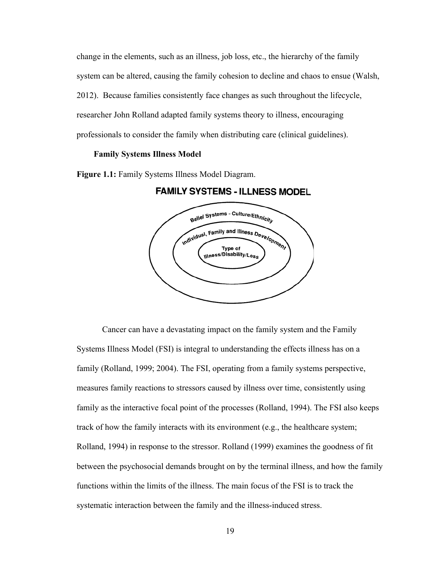change in the elements, such as an illness, job loss, etc., the hierarchy of the family system can be altered, causing the family cohesion to decline and chaos to ensue (Walsh, 2012). Because families consistently face changes as such throughout the lifecycle, researcher John Rolland adapted family systems theory to illness, encouraging professionals to consider the family when distributing care (clinical guidelines).

### **Family Systems Illness Model**

**Figure 1.1:** Family Systems Illness Model Diagram.





Cancer can have a devastating impact on the family system and the Family Systems Illness Model (FSI) is integral to understanding the effects illness has on a family (Rolland, 1999; 2004). The FSI, operating from a family systems perspective, measures family reactions to stressors caused by illness over time, consistently using family as the interactive focal point of the processes (Rolland, 1994). The FSI also keeps track of how the family interacts with its environment (e.g., the healthcare system; Rolland, 1994) in response to the stressor. Rolland (1999) examines the goodness of fit between the psychosocial demands brought on by the terminal illness, and how the family functions within the limits of the illness. The main focus of the FSI is to track the systematic interaction between the family and the illness-induced stress.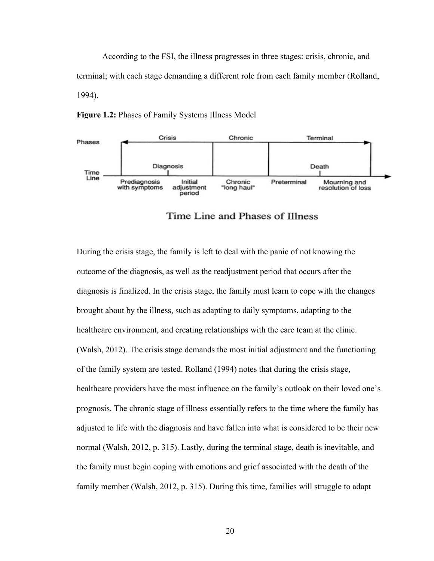According to the FSI, the illness progresses in three stages: crisis, chronic, and terminal; with each stage demanding a different role from each family member (Rolland, 1994).





Time Line and Phases of Illness

During the crisis stage, the family is left to deal with the panic of not knowing the outcome of the diagnosis, as well as the readjustment period that occurs after the diagnosis is finalized. In the crisis stage, the family must learn to cope with the changes brought about by the illness, such as adapting to daily symptoms, adapting to the healthcare environment, and creating relationships with the care team at the clinic. (Walsh, 2012). The crisis stage demands the most initial adjustment and the functioning of the family system are tested. Rolland (1994) notes that during the crisis stage, healthcare providers have the most influence on the family's outlook on their loved one's prognosis. The chronic stage of illness essentially refers to the time where the family has adjusted to life with the diagnosis and have fallen into what is considered to be their new normal (Walsh, 2012, p. 315). Lastly, during the terminal stage, death is inevitable, and the family must begin coping with emotions and grief associated with the death of the family member (Walsh, 2012, p. 315). During this time, families will struggle to adapt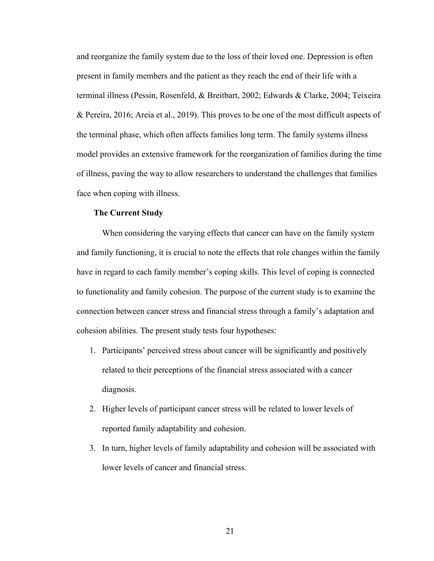and reorganize the family system due to the loss of their loved one. Depression is often present in family members and the patient as they reach the end of their life with a terminal illness (Pessin, Rosenfeld, & Breitbart, 2002; Edwards & Clarke, 2004; Teixeira & Pereira, 2016; Areia et al., 2019). This proves to be one of the most difficult aspects of the terminal phase, which often affects families long term. The family systems illness model provides an extensive framework for the reorganization of families during the time of illness, paving the way to allow researchers to understand the challenges that families face when coping with illness.

#### **The Current Study**

When considering the varying effects that cancer can have on the family system and family functioning, it is crucial to note the effects that role changes within the family have in regard to each family member's coping skills. This level of coping is connected to functionality and family cohesion. The purpose of the current study is to examine the connection between cancer stress and financial stress through a family's adaptation and cohesion abilities. The present study tests four hypotheses:

- 1. Participants' perceived stress about cancer will be significantly and positively related to their perceptions of the financial stress associated with a cancer diagnosis.
- 2. Higher levels of participant cancer stress will be related to lower levels of reported family adaptability and cohesion.
- 3. In turn, higher levels of family adaptability and cohesion will be associated with lower levels of cancer and financial stress.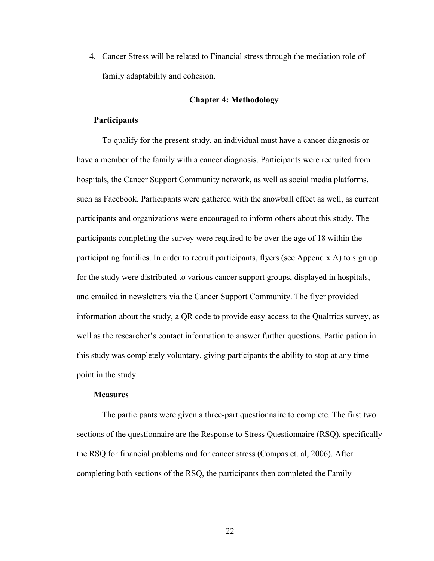4. Cancer Stress will be related to Financial stress through the mediation role of family adaptability and cohesion.

#### **Chapter 4: Methodology**

### **Participants**

To qualify for the present study, an individual must have a cancer diagnosis or have a member of the family with a cancer diagnosis. Participants were recruited from hospitals, the Cancer Support Community network, as well as social media platforms, such as Facebook. Participants were gathered with the snowball effect as well, as current participants and organizations were encouraged to inform others about this study. The participants completing the survey were required to be over the age of 18 within the participating families. In order to recruit participants, flyers (see Appendix A) to sign up for the study were distributed to various cancer support groups, displayed in hospitals, and emailed in newsletters via the Cancer Support Community. The flyer provided information about the study, a QR code to provide easy access to the Qualtrics survey, as well as the researcher's contact information to answer further questions. Participation in this study was completely voluntary, giving participants the ability to stop at any time point in the study.

### **Measures**

The participants were given a three-part questionnaire to complete. The first two sections of the questionnaire are the Response to Stress Questionnaire (RSQ), specifically the RSQ for financial problems and for cancer stress (Compas et. al, 2006). After completing both sections of the RSQ, the participants then completed the Family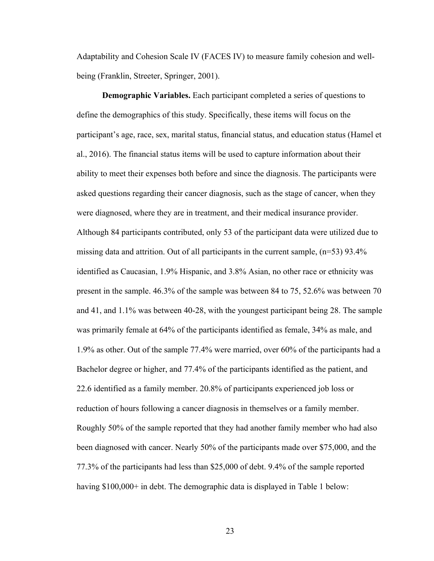Adaptability and Cohesion Scale IV (FACES IV) to measure family cohesion and wellbeing (Franklin, Streeter, Springer, 2001).

**Demographic Variables.** Each participant completed a series of questions to define the demographics of this study. Specifically, these items will focus on the participant's age, race, sex, marital status, financial status, and education status (Hamel et al., 2016). The financial status items will be used to capture information about their ability to meet their expenses both before and since the diagnosis. The participants were asked questions regarding their cancer diagnosis, such as the stage of cancer, when they were diagnosed, where they are in treatment, and their medical insurance provider. Although 84 participants contributed, only 53 of the participant data were utilized due to missing data and attrition. Out of all participants in the current sample,  $(n=53)$  93.4% identified as Caucasian, 1.9% Hispanic, and 3.8% Asian, no other race or ethnicity was present in the sample. 46.3% of the sample was between 84 to 75, 52.6% was between 70 and 41, and 1.1% was between 40-28, with the youngest participant being 28. The sample was primarily female at 64% of the participants identified as female, 34% as male, and 1.9% as other. Out of the sample 77.4% were married, over 60% of the participants had a Bachelor degree or higher, and 77.4% of the participants identified as the patient, and 22.6 identified as a family member. 20.8% of participants experienced job loss or reduction of hours following a cancer diagnosis in themselves or a family member. Roughly 50% of the sample reported that they had another family member who had also been diagnosed with cancer. Nearly 50% of the participants made over \$75,000, and the 77.3% of the participants had less than \$25,000 of debt. 9.4% of the sample reported having \$100,000+ in debt. The demographic data is displayed in Table 1 below: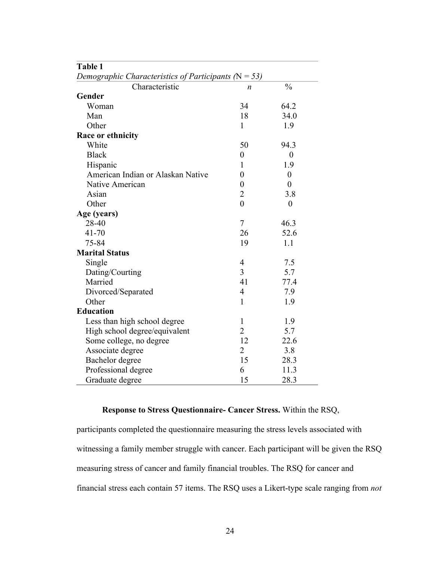| Table 1                                                  |                  |                  |  |  |
|----------------------------------------------------------|------------------|------------------|--|--|
| Demographic Characteristics of Participants ( $N = 53$ ) |                  |                  |  |  |
| Characteristic                                           | n                | $\frac{0}{0}$    |  |  |
| Gender                                                   |                  |                  |  |  |
| Woman                                                    | 34               | 64.2             |  |  |
| Man                                                      | 18               | 34.0             |  |  |
| Other                                                    | $\mathbf{1}$     | 1.9              |  |  |
| Race or ethnicity                                        |                  |                  |  |  |
| White                                                    | 50               | 94.3             |  |  |
| <b>Black</b>                                             | $\boldsymbol{0}$ | $\boldsymbol{0}$ |  |  |
| Hispanic                                                 | 1                | 1.9              |  |  |
| American Indian or Alaskan Native                        | $\overline{0}$   | $\boldsymbol{0}$ |  |  |
| Native American                                          | $\boldsymbol{0}$ | $\boldsymbol{0}$ |  |  |
| Asian                                                    | $\overline{2}$   | 3.8              |  |  |
| Other                                                    | $\theta$         | $\overline{0}$   |  |  |
| Age (years)                                              |                  |                  |  |  |
| 28-40                                                    | $\tau$           | 46.3             |  |  |
| $41 - 70$                                                | 26               | 52.6             |  |  |
| 75-84                                                    | 19               | 1.1              |  |  |
| <b>Marital Status</b>                                    |                  |                  |  |  |
| Single                                                   | $\overline{4}$   | 7.5              |  |  |
| Dating/Courting                                          | 3                | 5.7              |  |  |
| Married                                                  | 41               | 77.4             |  |  |
| Divorced/Separated                                       | 4                | 7.9              |  |  |
| Other                                                    | $\mathbf{1}$     | 1.9              |  |  |
| <b>Education</b>                                         |                  |                  |  |  |
| Less than high school degree                             | $\mathbf{1}$     | 1.9              |  |  |
| High school degree/equivalent                            | $\overline{2}$   | 5.7              |  |  |
| Some college, no degree                                  | 12               | 22.6             |  |  |
| Associate degree                                         | $\overline{2}$   | 3.8              |  |  |
| Bachelor degree                                          | 15               | 28.3             |  |  |
| Professional degree                                      | 6                | 11.3             |  |  |
| Graduate degree                                          | 15               | 28.3             |  |  |

# **Response to Stress Questionnaire- Cancer Stress.** Within the RSQ,

participants completed the questionnaire measuring the stress levels associated with witnessing a family member struggle with cancer. Each participant will be given the RSQ measuring stress of cancer and family financial troubles. The RSQ for cancer and financial stress each contain 57 items. The RSQ uses a Likert-type scale ranging from *not*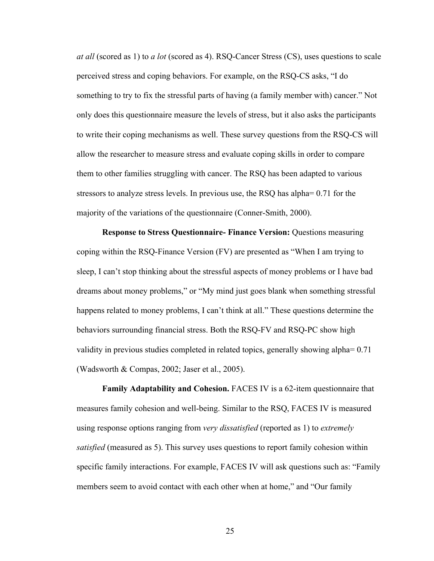*at all* (scored as 1) to *a lot* (scored as 4). RSQ-Cancer Stress (CS), uses questions to scale perceived stress and coping behaviors. For example, on the RSQ-CS asks, "I do something to try to fix the stressful parts of having (a family member with) cancer." Not only does this questionnaire measure the levels of stress, but it also asks the participants to write their coping mechanisms as well. These survey questions from the RSQ-CS will allow the researcher to measure stress and evaluate coping skills in order to compare them to other families struggling with cancer. The RSQ has been adapted to various stressors to analyze stress levels. In previous use, the RSQ has alpha= 0.71 for the majority of the variations of the questionnaire (Conner-Smith, 2000).

**Response to Stress Questionnaire- Finance Version:** Questions measuring coping within the RSQ-Finance Version (FV) are presented as "When I am trying to sleep, I can't stop thinking about the stressful aspects of money problems or I have bad dreams about money problems," or "My mind just goes blank when something stressful happens related to money problems, I can't think at all." These questions determine the behaviors surrounding financial stress. Both the RSQ-FV and RSQ-PC show high validity in previous studies completed in related topics, generally showing alpha= 0.71 (Wadsworth & Compas, 2002; Jaser et al., 2005).

**Family Adaptability and Cohesion.** FACES IV is a 62-item questionnaire that measures family cohesion and well-being. Similar to the RSQ, FACES IV is measured using response options ranging from *very dissatisfied* (reported as 1) to *extremely satisfied* (measured as 5). This survey uses questions to report family cohesion within specific family interactions. For example, FACES IV will ask questions such as: "Family members seem to avoid contact with each other when at home," and "Our family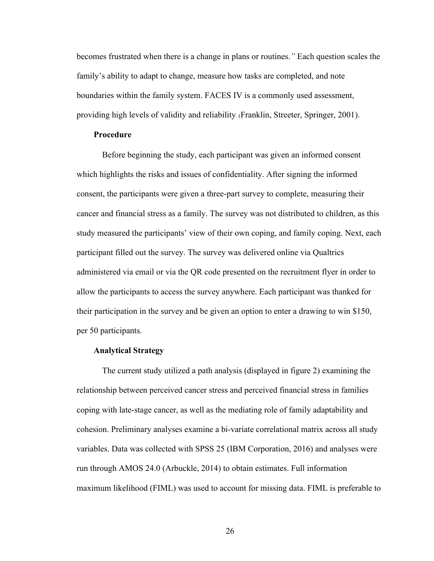becomes frustrated when there is a change in plans or routines.*"* Each question scales the family's ability to adapt to change, measure how tasks are completed, and note boundaries within the family system. FACES IV is a commonly used assessment, providing high levels of validity and reliability. (Franklin, Streeter, Springer, 2001).

### **Procedure**

Before beginning the study, each participant was given an informed consent which highlights the risks and issues of confidentiality. After signing the informed consent, the participants were given a three-part survey to complete, measuring their cancer and financial stress as a family. The survey was not distributed to children, as this study measured the participants' view of their own coping, and family coping. Next, each participant filled out the survey. The survey was delivered online via Qualtrics administered via email or via the QR code presented on the recruitment flyer in order to allow the participants to access the survey anywhere. Each participant was thanked for their participation in the survey and be given an option to enter a drawing to win \$150, per 50 participants.

# **Analytical Strategy**

The current study utilized a path analysis (displayed in figure 2) examining the relationship between perceived cancer stress and perceived financial stress in families coping with late-stage cancer, as well as the mediating role of family adaptability and cohesion. Preliminary analyses examine a bi-variate correlational matrix across all study variables. Data was collected with SPSS 25 (IBM Corporation, 2016) and analyses were run through AMOS 24.0 (Arbuckle, 2014) to obtain estimates. Full information maximum likelihood (FIML) was used to account for missing data. FIML is preferable to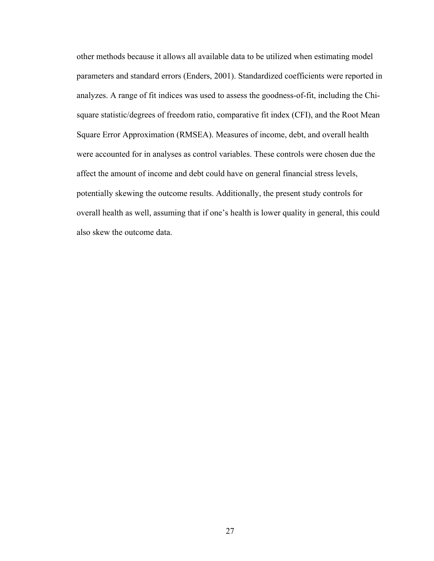other methods because it allows all available data to be utilized when estimating model parameters and standard errors (Enders, 2001). Standardized coefficients were reported in analyzes. A range of fit indices was used to assess the goodness-of-fit, including the Chisquare statistic/degrees of freedom ratio, comparative fit index (CFI), and the Root Mean Square Error Approximation (RMSEA). Measures of income, debt, and overall health were accounted for in analyses as control variables. These controls were chosen due the affect the amount of income and debt could have on general financial stress levels, potentially skewing the outcome results. Additionally, the present study controls for overall health as well, assuming that if one's health is lower quality in general, this could also skew the outcome data.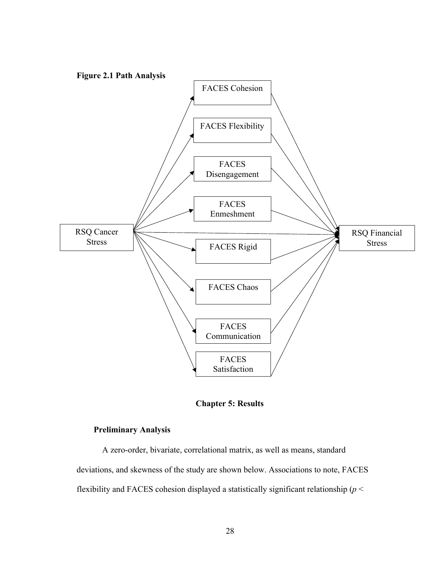

**Chapter 5: Results**

## **Preliminary Analysis**

A zero-order, bivariate, correlational matrix, as well as means, standard deviations, and skewness of the study are shown below. Associations to note, FACES flexibility and FACES cohesion displayed a statistically significant relationship (*p* <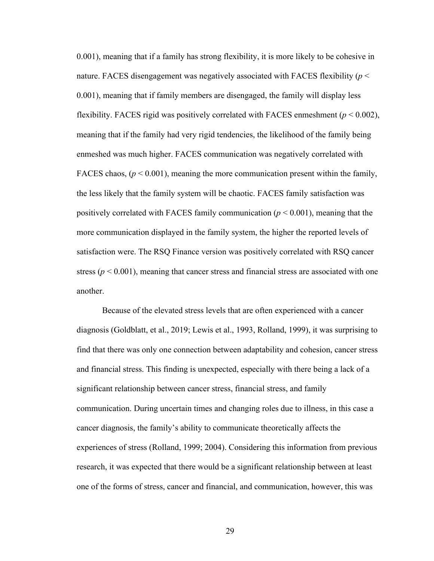0.001), meaning that if a family has strong flexibility, it is more likely to be cohesive in nature. FACES disengagement was negatively associated with FACES flexibility (*p* < 0.001), meaning that if family members are disengaged, the family will display less flexibility. FACES rigid was positively correlated with FACES enmeshment  $(p < 0.002)$ , meaning that if the family had very rigid tendencies, the likelihood of the family being enmeshed was much higher. FACES communication was negatively correlated with FACES chaos,  $(p < 0.001)$ , meaning the more communication present within the family, the less likely that the family system will be chaotic. FACES family satisfaction was positively correlated with FACES family communication  $(p < 0.001)$ , meaning that the more communication displayed in the family system, the higher the reported levels of satisfaction were. The RSQ Finance version was positively correlated with RSQ cancer stress ( $p < 0.001$ ), meaning that cancer stress and financial stress are associated with one another.

Because of the elevated stress levels that are often experienced with a cancer diagnosis (Goldblatt, et al., 2019; Lewis et al., 1993, Rolland, 1999), it was surprising to find that there was only one connection between adaptability and cohesion, cancer stress and financial stress. This finding is unexpected, especially with there being a lack of a significant relationship between cancer stress, financial stress, and family communication. During uncertain times and changing roles due to illness, in this case a cancer diagnosis, the family's ability to communicate theoretically affects the experiences of stress (Rolland, 1999; 2004). Considering this information from previous research, it was expected that there would be a significant relationship between at least one of the forms of stress, cancer and financial, and communication, however, this was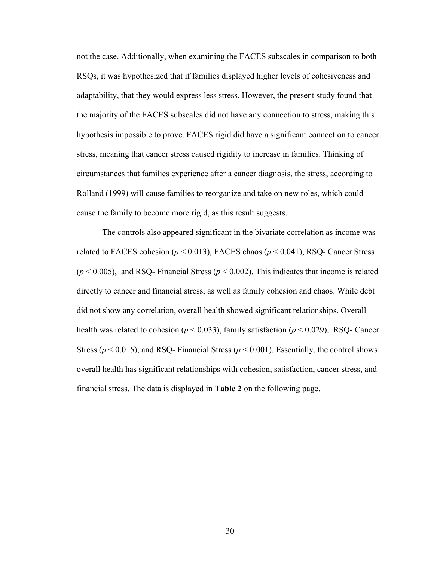not the case. Additionally, when examining the FACES subscales in comparison to both RSQs, it was hypothesized that if families displayed higher levels of cohesiveness and adaptability, that they would express less stress. However, the present study found that the majority of the FACES subscales did not have any connection to stress, making this hypothesis impossible to prove. FACES rigid did have a significant connection to cancer stress, meaning that cancer stress caused rigidity to increase in families. Thinking of circumstances that families experience after a cancer diagnosis, the stress, according to Rolland (1999) will cause families to reorganize and take on new roles, which could cause the family to become more rigid, as this result suggests.

The controls also appeared significant in the bivariate correlation as income was related to FACES cohesion ( $p < 0.013$ ), FACES chaos ( $p < 0.041$ ), RSQ- Cancer Stress  $(p < 0.005)$ , and RSQ- Financial Stress ( $p < 0.002$ ). This indicates that income is related directly to cancer and financial stress, as well as family cohesion and chaos. While debt did not show any correlation, overall health showed significant relationships. Overall health was related to cohesion ( $p < 0.033$ ), family satisfaction ( $p < 0.029$ ), RSQ- Cancer Stress ( $p < 0.015$ ), and RSQ- Financial Stress ( $p < 0.001$ ). Essentially, the control shows overall health has significant relationships with cohesion, satisfaction, cancer stress, and financial stress. The data is displayed in **Table 2** on the following page.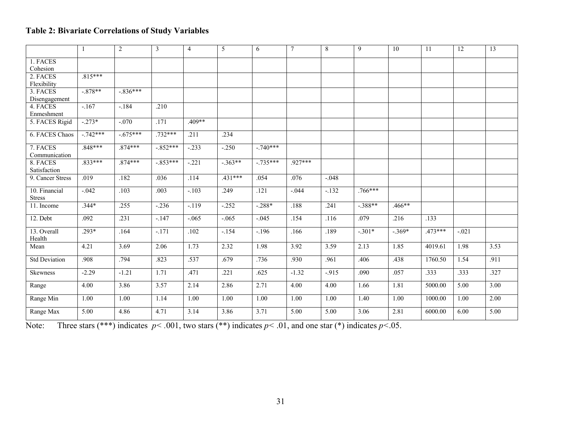## **Table 2: Bivariate Correlations of Study Variables**

|                          | $\mathbf{1}$ | $\overline{2}$ | 3          | $\overline{4}$ | 5         | 6          | $\tau$    | 8       | 9         | 10       | 11        | 12      | 13   |
|--------------------------|--------------|----------------|------------|----------------|-----------|------------|-----------|---------|-----------|----------|-----------|---------|------|
| 1. FACES                 |              |                |            |                |           |            |           |         |           |          |           |         |      |
| Cohesion                 |              |                |            |                |           |            |           |         |           |          |           |         |      |
| 2. FACES                 | $.815***$    |                |            |                |           |            |           |         |           |          |           |         |      |
| Flexibility              |              |                |            |                |           |            |           |         |           |          |           |         |      |
| 3. FACES                 | $-878**$     | $-.836***$     |            |                |           |            |           |         |           |          |           |         |      |
| Disengagement            |              |                |            |                |           |            |           |         |           |          |           |         |      |
| 4. FACES                 | $-.167$      | $-.184$        | .210       |                |           |            |           |         |           |          |           |         |      |
| Enmeshment               |              |                |            |                |           |            |           |         |           |          |           |         |      |
| 5. FACES Rigid           | $-.273*$     | $-.070$        | .171       | $.409**$       |           |            |           |         |           |          |           |         |      |
| 6. FACES Chaos           | $-.742***$   | $-.675***$     | $.732***$  | .211           | .234      |            |           |         |           |          |           |         |      |
| 7. FACES                 | $.848***$    | $.874***$      | $-.852***$ | $-.233$        | $-.250$   | $-.740***$ |           |         |           |          |           |         |      |
| Communication            |              |                |            |                |           |            |           |         |           |          |           |         |      |
| 8. FACES<br>Satisfaction | $.833***$    | $.874***$      | $-.853***$ | $-.221$        | $-363**$  | $-.735***$ | $.927***$ |         |           |          |           |         |      |
| 9. Cancer Stress         | .019         | .182           | .036       | .114           | $.431***$ | .054       | .076      | $-.048$ |           |          |           |         |      |
| 10. Financial            | $-0.042$     | .103           | .003       | $-.103$        | .249      | .121       | $-.044$   | $-.132$ | $.766***$ |          |           |         |      |
| <b>Stress</b>            |              |                |            |                |           |            |           |         |           |          |           |         |      |
| 11. Income               | $.344*$      | .255           | $-236$     | $-.119$        | $-252$    | $-.288*$   | .188      | .241    | $-.388**$ | .466**   |           |         |      |
| 12. Debt                 | .092         | .231           | $-.147$    | $-.065$        | $-.065$   | $-.045$    | .154      | .116    | .079      | .216     | .133      |         |      |
| 13. Overall<br>Health    | $.293*$      | .164           | $-.171$    | .102           | $-.154$   | $-.196$    | .166      | .189    | $-.301*$  | $-.369*$ | $.473***$ | $-.021$ |      |
| Mean                     | 4.21         | 3.69           | 2.06       | 1.73           | 2.32      | 1.98       | 3.92      | 3.59    | 2.13      | 1.85     | 4019.61   | 1.98    | 3.53 |
| <b>Std Deviation</b>     | .908         | .794           | .823       | .537           | .679      | .736       | .930      | .961    | .406      | .438     | 1760.50   | 1.54    | .911 |
| <b>Skewness</b>          | $-2.29$      | $-1.21$        | 1.71       | .471           | .221      | .625       | $-1.32$   | $-.915$ | .090      | .057     | .333      | .333    | .327 |
| Range                    | 4.00         | 3.86           | 3.57       | 2.14           | 2.86      | 2.71       | 4.00      | 4.00    | 1.66      | 1.81     | 5000.00   | 5.00    | 3.00 |
| Range Min                | 1.00         | 1.00           | 1.14       | 1.00           | 1.00      | 1.00       | 1.00      | 1.00    | 1.40      | 1.00     | 1000.00   | 1.00    | 2.00 |
| Range Max                | 5.00         | 4.86           | 4.71       | 3.14           | 3.86      | 3.71       | 5.00      | 5.00    | 3.06      | 2.81     | 6000.00   | 6.00    | 5.00 |

Note: Three stars (\*\*\*) indicates  $p < .001$ , two stars (\*\*) indicates  $p < .01$ , and one star (\*) indicates  $p < .05$ .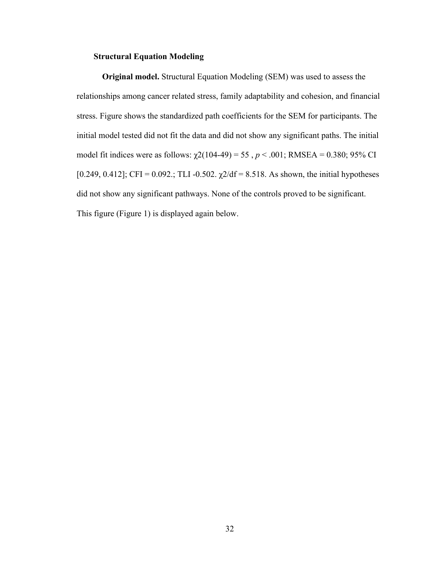## **Structural Equation Modeling**

**Original model.** Structural Equation Modeling (SEM) was used to assess the relationships among cancer related stress, family adaptability and cohesion, and financial stress. Figure shows the standardized path coefficients for the SEM for participants. The initial model tested did not fit the data and did not show any significant paths. The initial model fit indices were as follows:  $\chi$ 2(104-49) = 55, *p* < .001; RMSEA = 0.380; 95% CI [0.249, 0.412]; CFI = 0.092.; TLI -0.502.  $\chi$ 2/df = 8.518. As shown, the initial hypotheses did not show any significant pathways. None of the controls proved to be significant. This figure (Figure 1) is displayed again below.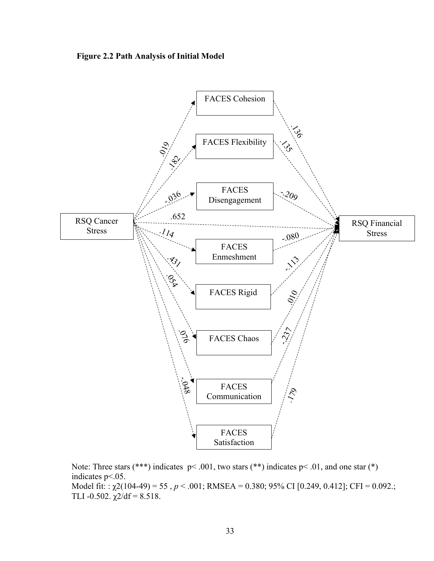



Note: Three stars (\*\*\*) indicates p< .001, two stars (\*\*) indicates p< .01, and one star (\*) indicates p<.05. Model fit: : χ2(104-49) = 55 , *p* < .001; RMSEA = 0.380; 95% CI [0.249, 0.412]; CFI = 0.092.; TLI -0.502.  $\chi$ 2/df = 8.518.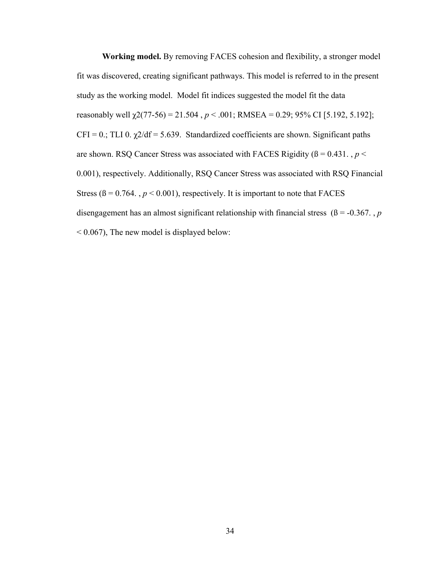**Working model.** By removing FACES cohesion and flexibility, a stronger model fit was discovered, creating significant pathways. This model is referred to in the present study as the working model. Model fit indices suggested the model fit the data reasonably well  $\chi$ 2(77-56) = 21.504,  $p < .001$ ; RMSEA = 0.29; 95% CI [5.192, 5.192];  $CFI = 0$ .; TLI 0.  $\chi$ 2/df = 5.639. Standardized coefficients are shown. Significant paths are shown. RSQ Cancer Stress was associated with FACES Rigidity ( $\beta$  = 0.431., *p* < 0.001), respectively. Additionally, RSQ Cancer Stress was associated with RSQ Financial Stress ( $\beta = 0.764$ ,  $p < 0.001$ ), respectively. It is important to note that FACES disengagement has an almost significant relationship with financial stress ( $\beta$  = -0.367., *p*  $< 0.067$ ), The new model is displayed below: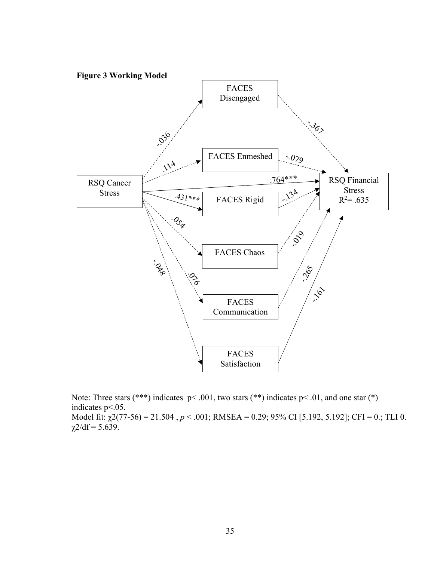

Note: Three stars (\*\*\*) indicates p< .001, two stars (\*\*) indicates p< .01, and one star (\*) indicates p<.05. Model fit: χ2(77-56) = 21.504 , *p* < .001; RMSEA = 0.29; 95% CI [5.192, 5.192]; CFI = 0.; TLI 0.  $\chi$ 2/df = 5.639.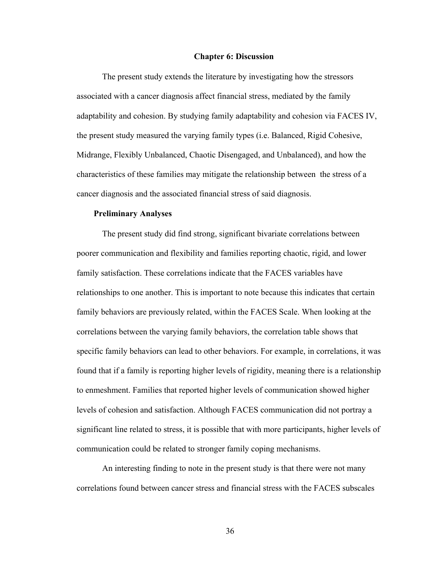#### **Chapter 6: Discussion**

The present study extends the literature by investigating how the stressors associated with a cancer diagnosis affect financial stress, mediated by the family adaptability and cohesion. By studying family adaptability and cohesion via FACES IV, the present study measured the varying family types (i.e. Balanced, Rigid Cohesive, Midrange, Flexibly Unbalanced, Chaotic Disengaged, and Unbalanced), and how the characteristics of these families may mitigate the relationship between the stress of a cancer diagnosis and the associated financial stress of said diagnosis.

#### **Preliminary Analyses**

The present study did find strong, significant bivariate correlations between poorer communication and flexibility and families reporting chaotic, rigid, and lower family satisfaction. These correlations indicate that the FACES variables have relationships to one another. This is important to note because this indicates that certain family behaviors are previously related, within the FACES Scale. When looking at the correlations between the varying family behaviors, the correlation table shows that specific family behaviors can lead to other behaviors. For example, in correlations, it was found that if a family is reporting higher levels of rigidity, meaning there is a relationship to enmeshment. Families that reported higher levels of communication showed higher levels of cohesion and satisfaction. Although FACES communication did not portray a significant line related to stress, it is possible that with more participants, higher levels of communication could be related to stronger family coping mechanisms.

An interesting finding to note in the present study is that there were not many correlations found between cancer stress and financial stress with the FACES subscales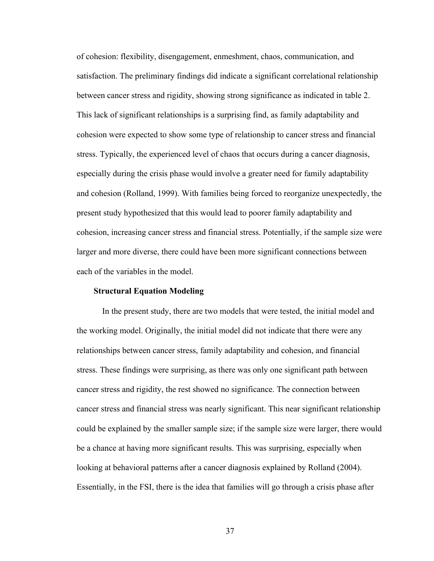of cohesion: flexibility, disengagement, enmeshment, chaos, communication, and satisfaction. The preliminary findings did indicate a significant correlational relationship between cancer stress and rigidity, showing strong significance as indicated in table 2. This lack of significant relationships is a surprising find, as family adaptability and cohesion were expected to show some type of relationship to cancer stress and financial stress. Typically, the experienced level of chaos that occurs during a cancer diagnosis, especially during the crisis phase would involve a greater need for family adaptability and cohesion (Rolland, 1999). With families being forced to reorganize unexpectedly, the present study hypothesized that this would lead to poorer family adaptability and cohesion, increasing cancer stress and financial stress. Potentially, if the sample size were larger and more diverse, there could have been more significant connections between each of the variables in the model.

#### **Structural Equation Modeling**

In the present study, there are two models that were tested, the initial model and the working model. Originally, the initial model did not indicate that there were any relationships between cancer stress, family adaptability and cohesion, and financial stress. These findings were surprising, as there was only one significant path between cancer stress and rigidity, the rest showed no significance. The connection between cancer stress and financial stress was nearly significant. This near significant relationship could be explained by the smaller sample size; if the sample size were larger, there would be a chance at having more significant results. This was surprising, especially when looking at behavioral patterns after a cancer diagnosis explained by Rolland (2004). Essentially, in the FSI, there is the idea that families will go through a crisis phase after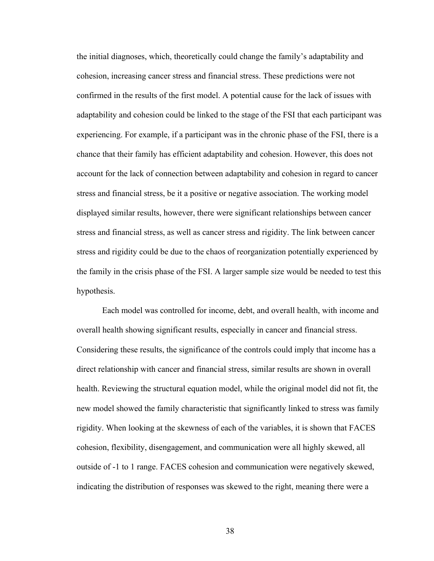the initial diagnoses, which, theoretically could change the family's adaptability and cohesion, increasing cancer stress and financial stress. These predictions were not confirmed in the results of the first model. A potential cause for the lack of issues with adaptability and cohesion could be linked to the stage of the FSI that each participant was experiencing. For example, if a participant was in the chronic phase of the FSI, there is a chance that their family has efficient adaptability and cohesion. However, this does not account for the lack of connection between adaptability and cohesion in regard to cancer stress and financial stress, be it a positive or negative association. The working model displayed similar results, however, there were significant relationships between cancer stress and financial stress, as well as cancer stress and rigidity. The link between cancer stress and rigidity could be due to the chaos of reorganization potentially experienced by the family in the crisis phase of the FSI. A larger sample size would be needed to test this hypothesis.

Each model was controlled for income, debt, and overall health, with income and overall health showing significant results, especially in cancer and financial stress. Considering these results, the significance of the controls could imply that income has a direct relationship with cancer and financial stress, similar results are shown in overall health. Reviewing the structural equation model, while the original model did not fit, the new model showed the family characteristic that significantly linked to stress was family rigidity. When looking at the skewness of each of the variables, it is shown that FACES cohesion, flexibility, disengagement, and communication were all highly skewed, all outside of -1 to 1 range. FACES cohesion and communication were negatively skewed, indicating the distribution of responses was skewed to the right, meaning there were a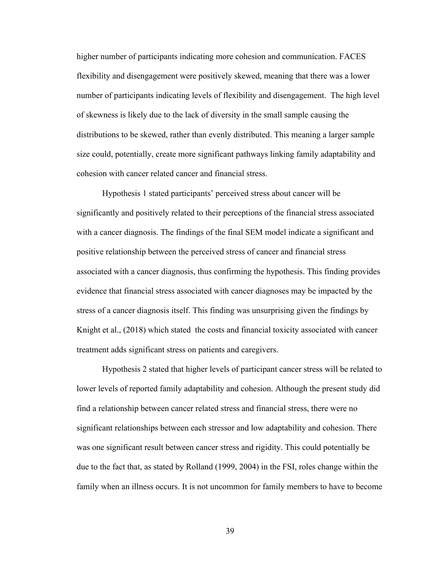higher number of participants indicating more cohesion and communication. FACES flexibility and disengagement were positively skewed, meaning that there was a lower number of participants indicating levels of flexibility and disengagement. The high level of skewness is likely due to the lack of diversity in the small sample causing the distributions to be skewed, rather than evenly distributed. This meaning a larger sample size could, potentially, create more significant pathways linking family adaptability and cohesion with cancer related cancer and financial stress.

Hypothesis 1 stated participants' perceived stress about cancer will be significantly and positively related to their perceptions of the financial stress associated with a cancer diagnosis. The findings of the final SEM model indicate a significant and positive relationship between the perceived stress of cancer and financial stress associated with a cancer diagnosis, thus confirming the hypothesis. This finding provides evidence that financial stress associated with cancer diagnoses may be impacted by the stress of a cancer diagnosis itself. This finding was unsurprising given the findings by Knight et al., (2018) which stated the costs and financial toxicity associated with cancer treatment adds significant stress on patients and caregivers.

Hypothesis 2 stated that higher levels of participant cancer stress will be related to lower levels of reported family adaptability and cohesion. Although the present study did find a relationship between cancer related stress and financial stress, there were no significant relationships between each stressor and low adaptability and cohesion. There was one significant result between cancer stress and rigidity. This could potentially be due to the fact that, as stated by Rolland (1999, 2004) in the FSI, roles change within the family when an illness occurs. It is not uncommon for family members to have to become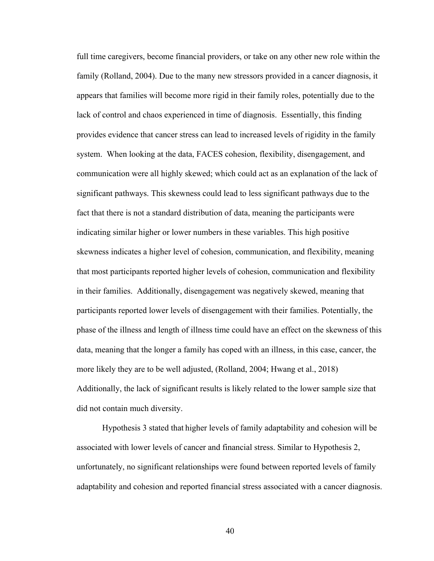full time caregivers, become financial providers, or take on any other new role within the family (Rolland, 2004). Due to the many new stressors provided in a cancer diagnosis, it appears that families will become more rigid in their family roles, potentially due to the lack of control and chaos experienced in time of diagnosis. Essentially, this finding provides evidence that cancer stress can lead to increased levels of rigidity in the family system. When looking at the data, FACES cohesion, flexibility, disengagement, and communication were all highly skewed; which could act as an explanation of the lack of significant pathways. This skewness could lead to less significant pathways due to the fact that there is not a standard distribution of data, meaning the participants were indicating similar higher or lower numbers in these variables. This high positive skewness indicates a higher level of cohesion, communication, and flexibility, meaning that most participants reported higher levels of cohesion, communication and flexibility in their families. Additionally, disengagement was negatively skewed, meaning that participants reported lower levels of disengagement with their families. Potentially, the phase of the illness and length of illness time could have an effect on the skewness of this data, meaning that the longer a family has coped with an illness, in this case, cancer, the more likely they are to be well adjusted, (Rolland, 2004; Hwang et al., 2018) Additionally, the lack of significant results is likely related to the lower sample size that did not contain much diversity.

Hypothesis 3 stated that higher levels of family adaptability and cohesion will be associated with lower levels of cancer and financial stress. Similar to Hypothesis 2, unfortunately, no significant relationships were found between reported levels of family adaptability and cohesion and reported financial stress associated with a cancer diagnosis.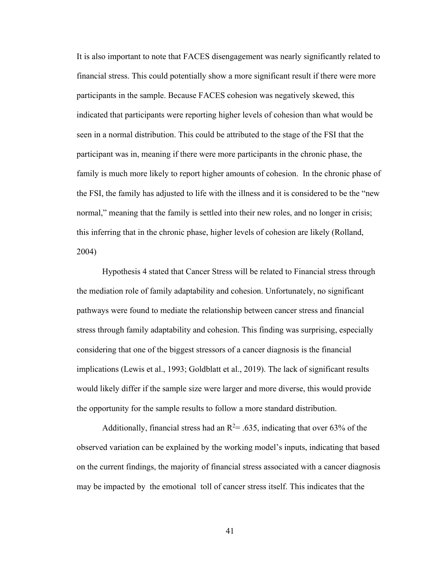It is also important to note that FACES disengagement was nearly significantly related to financial stress. This could potentially show a more significant result if there were more participants in the sample. Because FACES cohesion was negatively skewed, this indicated that participants were reporting higher levels of cohesion than what would be seen in a normal distribution. This could be attributed to the stage of the FSI that the participant was in, meaning if there were more participants in the chronic phase, the family is much more likely to report higher amounts of cohesion. In the chronic phase of the FSI, the family has adjusted to life with the illness and it is considered to be the "new normal," meaning that the family is settled into their new roles, and no longer in crisis; this inferring that in the chronic phase, higher levels of cohesion are likely (Rolland, 2004)

Hypothesis 4 stated that Cancer Stress will be related to Financial stress through the mediation role of family adaptability and cohesion. Unfortunately, no significant pathways were found to mediate the relationship between cancer stress and financial stress through family adaptability and cohesion. This finding was surprising, especially considering that one of the biggest stressors of a cancer diagnosis is the financial implications (Lewis et al., 1993; Goldblatt et al., 2019). The lack of significant results would likely differ if the sample size were larger and more diverse, this would provide the opportunity for the sample results to follow a more standard distribution.

Additionally, financial stress had an  $R^2 = .635$ , indicating that over 63% of the observed variation can be explained by the working model's inputs, indicating that based on the current findings, the majority of financial stress associated with a cancer diagnosis may be impacted by the emotional toll of cancer stress itself. This indicates that the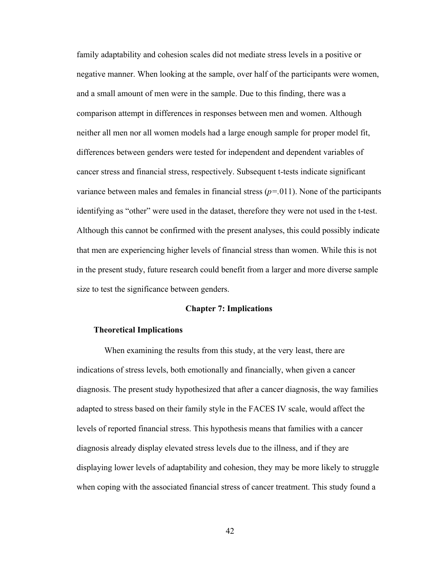family adaptability and cohesion scales did not mediate stress levels in a positive or negative manner. When looking at the sample, over half of the participants were women, and a small amount of men were in the sample. Due to this finding, there was a comparison attempt in differences in responses between men and women. Although neither all men nor all women models had a large enough sample for proper model fit, differences between genders were tested for independent and dependent variables of cancer stress and financial stress, respectively. Subsequent t-tests indicate significant variance between males and females in financial stress  $(p=011)$ . None of the participants identifying as "other" were used in the dataset, therefore they were not used in the t-test. Although this cannot be confirmed with the present analyses, this could possibly indicate that men are experiencing higher levels of financial stress than women. While this is not in the present study, future research could benefit from a larger and more diverse sample size to test the significance between genders.

#### **Chapter 7: Implications**

#### **Theoretical Implications**

When examining the results from this study, at the very least, there are indications of stress levels, both emotionally and financially, when given a cancer diagnosis. The present study hypothesized that after a cancer diagnosis, the way families adapted to stress based on their family style in the FACES IV scale, would affect the levels of reported financial stress. This hypothesis means that families with a cancer diagnosis already display elevated stress levels due to the illness, and if they are displaying lower levels of adaptability and cohesion, they may be more likely to struggle when coping with the associated financial stress of cancer treatment. This study found a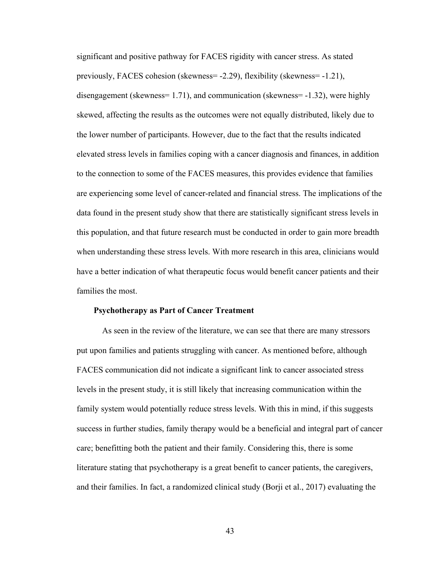significant and positive pathway for FACES rigidity with cancer stress. As stated previously, FACES cohesion (skewness= -2.29), flexibility (skewness= -1.21), disengagement (skewness= 1.71), and communication (skewness= -1.32), were highly skewed, affecting the results as the outcomes were not equally distributed, likely due to the lower number of participants. However, due to the fact that the results indicated elevated stress levels in families coping with a cancer diagnosis and finances, in addition to the connection to some of the FACES measures, this provides evidence that families are experiencing some level of cancer-related and financial stress. The implications of the data found in the present study show that there are statistically significant stress levels in this population, and that future research must be conducted in order to gain more breadth when understanding these stress levels. With more research in this area, clinicians would have a better indication of what therapeutic focus would benefit cancer patients and their families the most.

#### **Psychotherapy as Part of Cancer Treatment**

As seen in the review of the literature, we can see that there are many stressors put upon families and patients struggling with cancer. As mentioned before, although FACES communication did not indicate a significant link to cancer associated stress levels in the present study, it is still likely that increasing communication within the family system would potentially reduce stress levels. With this in mind, if this suggests success in further studies, family therapy would be a beneficial and integral part of cancer care; benefitting both the patient and their family. Considering this, there is some literature stating that psychotherapy is a great benefit to cancer patients, the caregivers, and their families. In fact, a randomized clinical study (Borji et al., 2017) evaluating the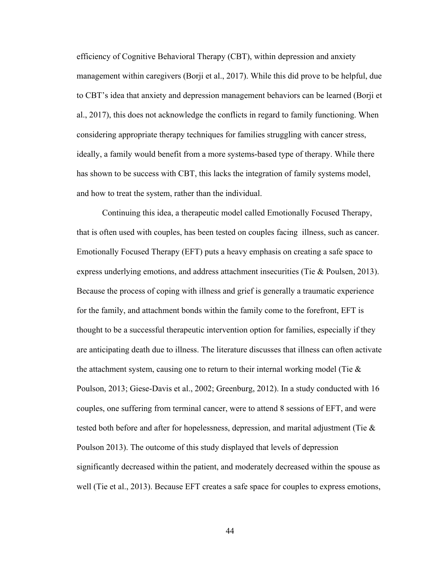efficiency of Cognitive Behavioral Therapy (CBT), within depression and anxiety management within caregivers (Borji et al., 2017). While this did prove to be helpful, due to CBT's idea that anxiety and depression management behaviors can be learned (Borji et al., 2017), this does not acknowledge the conflicts in regard to family functioning. When considering appropriate therapy techniques for families struggling with cancer stress, ideally, a family would benefit from a more systems-based type of therapy. While there has shown to be success with CBT, this lacks the integration of family systems model, and how to treat the system, rather than the individual.

Continuing this idea, a therapeutic model called Emotionally Focused Therapy, that is often used with couples, has been tested on couples facing illness, such as cancer. Emotionally Focused Therapy (EFT) puts a heavy emphasis on creating a safe space to express underlying emotions, and address attachment insecurities (Tie & Poulsen, 2013). Because the process of coping with illness and grief is generally a traumatic experience for the family, and attachment bonds within the family come to the forefront, EFT is thought to be a successful therapeutic intervention option for families, especially if they are anticipating death due to illness. The literature discusses that illness can often activate the attachment system, causing one to return to their internal working model (Tie & Poulson, 2013; Giese-Davis et al., 2002; Greenburg, 2012). In a study conducted with 16 couples, one suffering from terminal cancer, were to attend 8 sessions of EFT, and were tested both before and after for hopelessness, depression, and marital adjustment (Tie & Poulson 2013). The outcome of this study displayed that levels of depression significantly decreased within the patient, and moderately decreased within the spouse as well (Tie et al., 2013). Because EFT creates a safe space for couples to express emotions,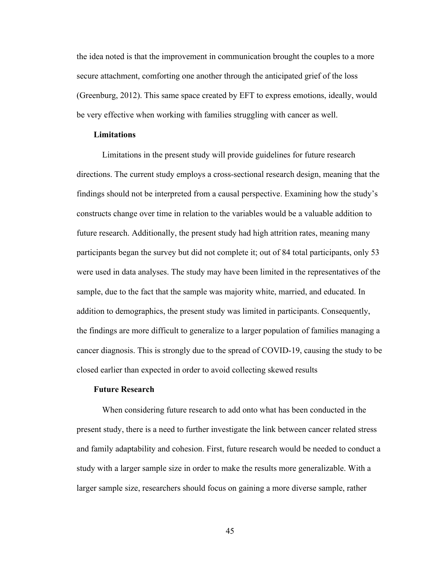the idea noted is that the improvement in communication brought the couples to a more secure attachment, comforting one another through the anticipated grief of the loss (Greenburg, 2012). This same space created by EFT to express emotions, ideally, would be very effective when working with families struggling with cancer as well.

#### **Limitations**

Limitations in the present study will provide guidelines for future research directions. The current study employs a cross-sectional research design, meaning that the findings should not be interpreted from a causal perspective. Examining how the study's constructs change over time in relation to the variables would be a valuable addition to future research. Additionally, the present study had high attrition rates, meaning many participants began the survey but did not complete it; out of 84 total participants, only 53 were used in data analyses. The study may have been limited in the representatives of the sample, due to the fact that the sample was majority white, married, and educated. In addition to demographics, the present study was limited in participants. Consequently, the findings are more difficult to generalize to a larger population of families managing a cancer diagnosis. This is strongly due to the spread of COVID-19, causing the study to be closed earlier than expected in order to avoid collecting skewed results

#### **Future Research**

When considering future research to add onto what has been conducted in the present study, there is a need to further investigate the link between cancer related stress and family adaptability and cohesion. First, future research would be needed to conduct a study with a larger sample size in order to make the results more generalizable. With a larger sample size, researchers should focus on gaining a more diverse sample, rather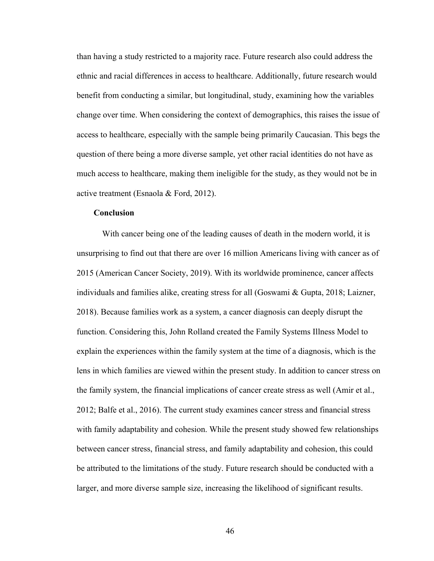than having a study restricted to a majority race. Future research also could address the ethnic and racial differences in access to healthcare. Additionally, future research would benefit from conducting a similar, but longitudinal, study, examining how the variables change over time. When considering the context of demographics, this raises the issue of access to healthcare, especially with the sample being primarily Caucasian. This begs the question of there being a more diverse sample, yet other racial identities do not have as much access to healthcare, making them ineligible for the study, as they would not be in active treatment (Esnaola & Ford, 2012).

#### **Conclusion**

With cancer being one of the leading causes of death in the modern world, it is unsurprising to find out that there are over 16 million Americans living with cancer as of 2015 (American Cancer Society, 2019). With its worldwide prominence, cancer affects individuals and families alike, creating stress for all (Goswami & Gupta, 2018; Laizner, 2018). Because families work as a system, a cancer diagnosis can deeply disrupt the function. Considering this, John Rolland created the Family Systems Illness Model to explain the experiences within the family system at the time of a diagnosis, which is the lens in which families are viewed within the present study. In addition to cancer stress on the family system, the financial implications of cancer create stress as well (Amir et al., 2012; Balfe et al., 2016). The current study examines cancer stress and financial stress with family adaptability and cohesion. While the present study showed few relationships between cancer stress, financial stress, and family adaptability and cohesion, this could be attributed to the limitations of the study. Future research should be conducted with a larger, and more diverse sample size, increasing the likelihood of significant results.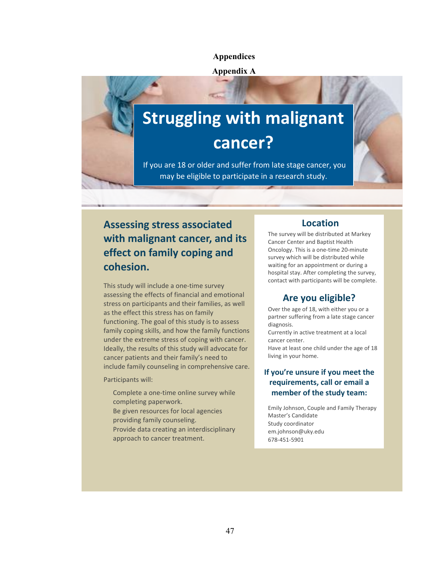#### **Appendices**

#### **Appendix A**

# **Struggling with malignant cancer?**

If you are 18 or older and suffer from late stage cancer, you may be eligible to participate in a research study.

# **Assessing stress associated with malignant cancer, and its effect on family coping and cohesion.**

This study will include a one-time survey assessing the effects of financial and emotional stress on participants and their families, as well as the effect this stress has on family functioning. The goal of this study is to assess family coping skills, and how the family functions under the extreme stress of coping with cancer. Ideally, the results of this study will advocate for cancer patients and their family's need to include family counseling in comprehensive care.

Participants will:

Complete a one-time online survey while completing paperwork. Be given resources for local agencies providing family counseling. Provide data creating an interdisciplinary approach to cancer treatment.

## **Location**

The survey will be distributed at Markey Cancer Center and Baptist Health Oncology. This is a one-time 20-minute survey which will be distributed while waiting for an appointment or during a hospital stay. After completing the survey, contact with participants will be complete.

## **Are you eligible?**

Over the age of 18, with either you or a partner suffering from a late stage cancer diagnosis.

Currently in active treatment at a local cancer center.

Have at least one child under the age of 18 living in your home.

## **If you're unsure if you meet the requirements, call or email a member of the study team:**

Emily Johnson, Couple and Family Therapy Master's Candidate Study coordinator em.johnson@uky.edu 678-451-5901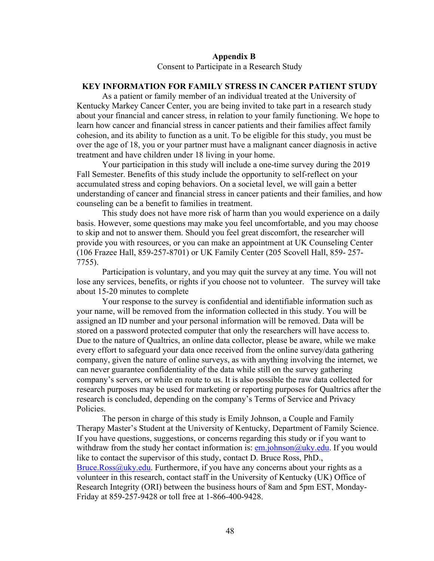#### **Appendix B**

Consent to Participate in a Research Study

## **KEY INFORMATION FOR FAMILY STRESS IN CANCER PATIENT STUDY**

As a patient or family member of an individual treated at the University of Kentucky Markey Cancer Center, you are being invited to take part in a research study about your financial and cancer stress, in relation to your family functioning. We hope to learn how cancer and financial stress in cancer patients and their families affect family cohesion, and its ability to function as a unit. To be eligible for this study, you must be over the age of 18, you or your partner must have a malignant cancer diagnosis in active treatment and have children under 18 living in your home.

Your participation in this study will include a one-time survey during the 2019 Fall Semester. Benefits of this study include the opportunity to self-reflect on your accumulated stress and coping behaviors. On a societal level, we will gain a better understanding of cancer and financial stress in cancer patients and their families, and how counseling can be a benefit to families in treatment.

This study does not have more risk of harm than you would experience on a daily basis. However, some questions may make you feel uncomfortable, and you may choose to skip and not to answer them. Should you feel great discomfort, the researcher will provide you with resources, or you can make an appointment at UK Counseling Center (106 Frazee Hall, 859-257-8701) or UK Family Center (205 Scovell Hall, 859- 257- 7755).

Participation is voluntary, and you may quit the survey at any time. You will not lose any services, benefits, or rights if you choose not to volunteer. The survey will take about 15-20 minutes to complete

Your response to the survey is confidential and identifiable information such as your name, will be removed from the information collected in this study. You will be assigned an ID number and your personal information will be removed. Data will be stored on a password protected computer that only the researchers will have access to. Due to the nature of Qualtrics, an online data collector, please be aware, while we make every effort to safeguard your data once received from the online survey/data gathering company, given the nature of online surveys, as with anything involving the internet, we can never guarantee confidentiality of the data while still on the survey gathering company's servers, or while en route to us. It is also possible the raw data collected for research purposes may be used for marketing or reporting purposes for Qualtrics after the research is concluded, depending on the company's Terms of Service and Privacy Policies.

The person in charge of this study is Emily Johnson, a Couple and Family Therapy Master's Student at the University of Kentucky, Department of Family Science. If you have questions, suggestions, or concerns regarding this study or if you want to withdraw from the study her contact information is:  $\frac{em}{ichnson@uky.edu}$ . If you would like to contact the supervisor of this study, contact D. Bruce Ross, PhD.,  $Bruce.Ross@uky.edu.$  Furthermore, if you have any concerns about your rights as a volunteer in this research, contact staff in the University of Kentucky (UK) Office of Research Integrity (ORI) between the business hours of 8am and 5pm EST, Monday-Friday at 859-257-9428 or toll free at 1-866-400-9428.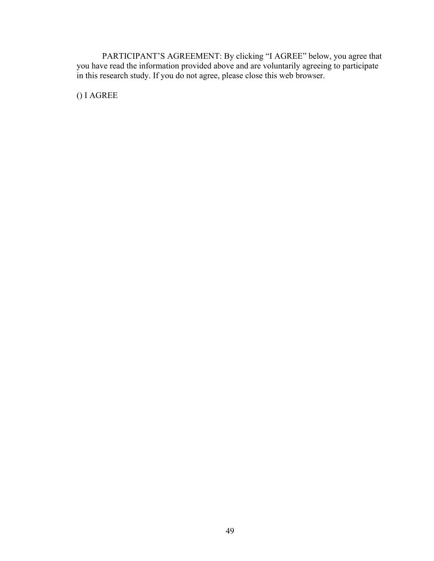PARTICIPANT'S AGREEMENT: By clicking "I AGREE" below, you agree that you have read the information provided above and are voluntarily agreeing to participate in this research study. If you do not agree, please close this web browser.

() I AGREE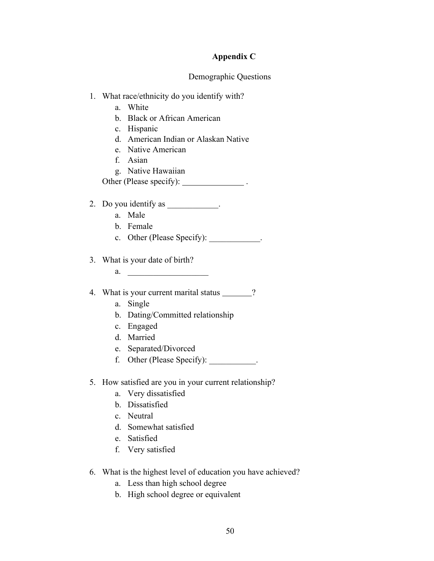## **Appendix C**

## Demographic Questions

- 1. What race/ethnicity do you identify with?
	- a. White
	- b. Black or African American
	- c. Hispanic
	- d. American Indian or Alaskan Native
	- e. Native American
	- f. Asian
	- g. Native Hawaiian
	- Other (Please specify): \_\_\_\_\_\_\_\_\_\_\_\_\_\_\_\_\_\_\_\_.
- 2. Do you identify as \_\_\_\_\_\_\_\_\_\_\_.
	- a. Male
	- b. Female
	- c. Other (Please Specify):
- 3. What is your date of birth?
	- a.
- 4. What is your current marital status \_\_\_\_\_\_?
	- a. Single
	- b. Dating/Committed relationship
	- c. Engaged
	- d. Married
	- e. Separated/Divorced
	- f. Other (Please Specify):  $\qquad \qquad$ .
- 5. How satisfied are you in your current relationship?
	- a. Very dissatisfied
	- b. Dissatisfied
	- c. Neutral
	- d. Somewhat satisfied
	- e. Satisfied
	- f. Very satisfied
- 6. What is the highest level of education you have achieved?
	- a. Less than high school degree
	- b. High school degree or equivalent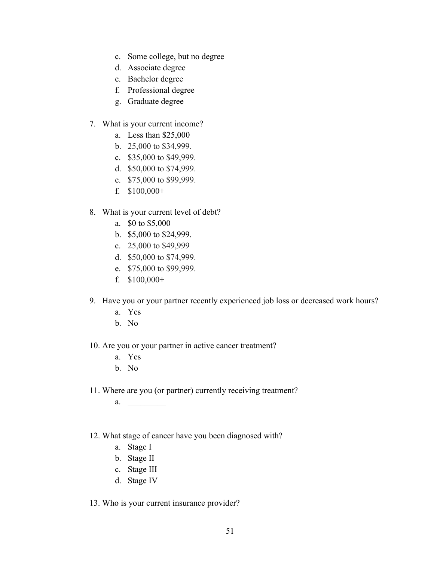- c. Some college, but no degree
- d. Associate degree
- e. Bachelor degree
- f. Professional degree
- g. Graduate degree
- 7. What is your current income?
	- a. Less than \$25,000
	- b. 25,000 to \$34,999.
	- c. \$35,000 to \$49,999.
	- d. \$50,000 to \$74,999.
	- e. \$75,000 to \$99,999.
	- f. \$100,000+
- 8. What is your current level of debt?
	- a. \$0 to \$5,000
	- b. \$5,000 to \$24,999.
	- c. 25,000 to \$49,999
	- d. \$50,000 to \$74,999.
	- e. \$75,000 to \$99,999.
	- f. \$100,000+
- 9. Have you or your partner recently experienced job loss or decreased work hours?
	- a. Yes
	- b. No
- 10. Are you or your partner in active cancer treatment?
	- a. Yes
	- b. No
- 11. Where are you (or partner) currently receiving treatment?

a. \_\_\_\_\_\_\_\_\_

12. What stage of cancer have you been diagnosed with?

- a. Stage I
- b. Stage II
- c. Stage III
- d. Stage IV

#### 13. Who is your current insurance provider?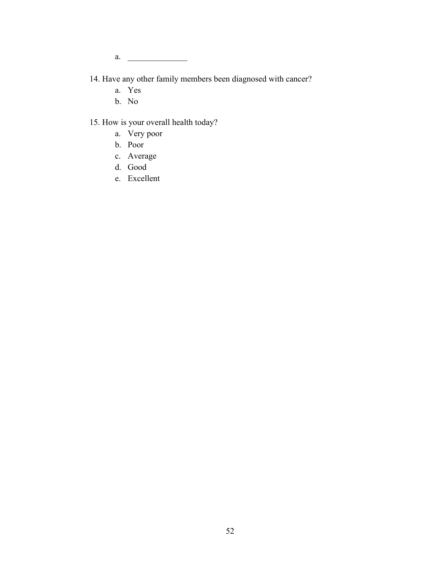a.  $\qquad \qquad$ 

- 14. Have any other family members been diagnosed with cancer?
	- a. Yes
	- b. No

## 15. How is your overall health today?

- a. Very poor
- b. Poor
- c. Average
- d. Good
- e. Excellent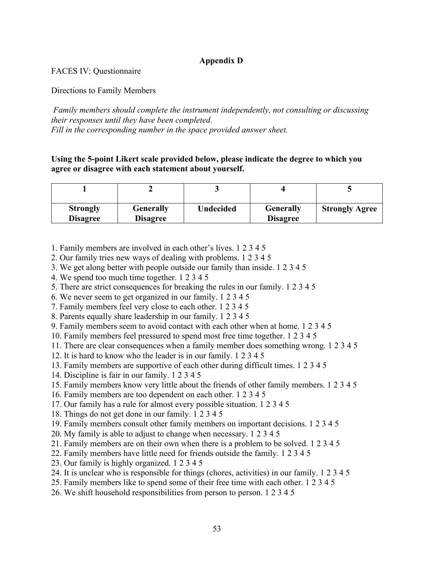## **Appendix D**

FACES IV: Questionnaire

Directions to Family Members

*Family members should complete the instrument independently, not consulting or discussing their responses until they have been completed. Fill in the corresponding number in the space provided answer sheet.*

**Using the 5-point Likert scale provided below, please indicate the degree to which you agree or disagree with each statement about yourself.**

| <b>Strongly</b> | <b>Generally</b> | <b>Undecided</b> | <b>Generally</b> | <b>Strongly Agree</b> |
|-----------------|------------------|------------------|------------------|-----------------------|
| <b>Disagree</b> | <b>Disagree</b>  |                  | <b>Disagree</b>  |                       |

1. Family members are involved in each other's lives. 1 2 3 4 5

- 2. Our family tries new ways of dealing with problems. 1 2 3 4 5
- 3. We get along better with people outside our family than inside. 1 2 3 4 5
- 4. We spend too much time together. 1 2 3 4 5
- 5. There are strict consequences for breaking the rules in our family. 1 2 3 4 5
- 6. We never seem to get organized in our family. 1 2 3 4 5
- 7. Family members feel very close to each other. 1 2 3 4 5
- 8. Parents equally share leadership in our family. 1 2 3 4 5
- 9. Family members seem to avoid contact with each other when at home. 1 2 3 4 5
- 10. Family members feel pressured to spend most free time together. 1 2 3 4 5
- 11. There are clear consequences when a family member does something wrong. 1 2 3 4 5
- 12. It is hard to know who the leader is in our family. 1 2 3 4 5
- 13. Family members are supportive of each other during difficult times. 1 2 3 4 5
- 14. Discipline is fair in our family. 1 2 3 4 5
- 15. Family members know very little about the friends of other family members. 1 2 3 4 5
- 16. Family members are too dependent on each other. 1 2 3 4 5
- 17. Our family has a rule for almost every possible situation. 1 2 3 4 5
- 18. Things do not get done in our family. 1 2 3 4 5
- 19. Family members consult other family members on important decisions. 1 2 3 4 5
- 20. My family is able to adjust to change when necessary. 1 2 3 4 5
- 21. Family members are on their own when there is a problem to be solved. 1 2 3 4 5
- 22. Family members have little need for friends outside the family. 1 2 3 4 5
- 23. Our family is highly organized. 1 2 3 4 5
- 24. It is unclear who is responsible for things (chores, activities) in our family. 1 2 3 4 5
- 25. Family members like to spend some of their free time with each other. 1 2 3 4 5
- 26. We shift household responsibilities from person to person. 1 2 3 4 5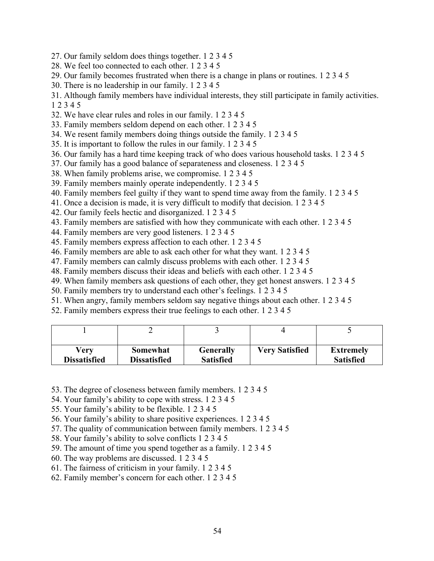- 27. Our family seldom does things together. 1 2 3 4 5
- 28. We feel too connected to each other. 1 2 3 4 5
- 29. Our family becomes frustrated when there is a change in plans or routines. 1 2 3 4 5
- 30. There is no leadership in our family. 1 2 3 4 5
- 31. Although family members have individual interests, they still participate in family activities. 1 2 3 4 5
- 32. We have clear rules and roles in our family. 1 2 3 4 5
- 33. Family members seldom depend on each other. 1 2 3 4 5
- 34. We resent family members doing things outside the family. 1 2 3 4 5
- 35. It is important to follow the rules in our family. 1 2 3 4 5
- 36. Our family has a hard time keeping track of who does various household tasks. 1 2 3 4 5
- 37. Our family has a good balance of separateness and closeness. 1 2 3 4 5
- 38. When family problems arise, we compromise. 1 2 3 4 5
- 39. Family members mainly operate independently. 1 2 3 4 5
- 40. Family members feel guilty if they want to spend time away from the family. 1 2 3 4 5
- 41. Once a decision is made, it is very difficult to modify that decision. 1 2 3 4 5
- 42. Our family feels hectic and disorganized. 1 2 3 4 5
- 43. Family members are satisfied with how they communicate with each other. 1 2 3 4 5
- 44. Family members are very good listeners. 1 2 3 4 5
- 45. Family members express affection to each other. 1 2 3 4 5
- 46. Family members are able to ask each other for what they want. 1 2 3 4 5
- 47. Family members can calmly discuss problems with each other. 1 2 3 4 5
- 48. Family members discuss their ideas and beliefs with each other. 1 2 3 4 5
- 49. When family members ask questions of each other, they get honest answers. 1 2 3 4 5
- 50. Family members try to understand each other's feelings. 1 2 3 4 5
- 51. When angry, family members seldom say negative things about each other. 1 2 3 4 5
- 52. Family members express their true feelings to each other. 1 2 3 4 5

| Verv                | Somewhat            | <b>Generally</b> | <b>Very Satisfied</b> | <b>Extremely</b> |
|---------------------|---------------------|------------------|-----------------------|------------------|
| <b>Dissatisfied</b> | <b>Dissatisfied</b> | <b>Satisfied</b> |                       | <b>Satisfied</b> |

- 53. The degree of closeness between family members. 1 2 3 4 5
- 54. Your family's ability to cope with stress. 1 2 3 4 5
- 55. Your family's ability to be flexible. 1 2 3 4 5
- 56. Your family's ability to share positive experiences. 1 2 3 4 5
- 57. The quality of communication between family members. 1 2 3 4 5
- 58. Your family's ability to solve conflicts 1 2 3 4 5
- 59. The amount of time you spend together as a family. 1 2 3 4 5
- 60. The way problems are discussed. 1 2 3 4 5
- 61. The fairness of criticism in your family. 1 2 3 4 5
- 62. Family member's concern for each other. 1 2 3 4 5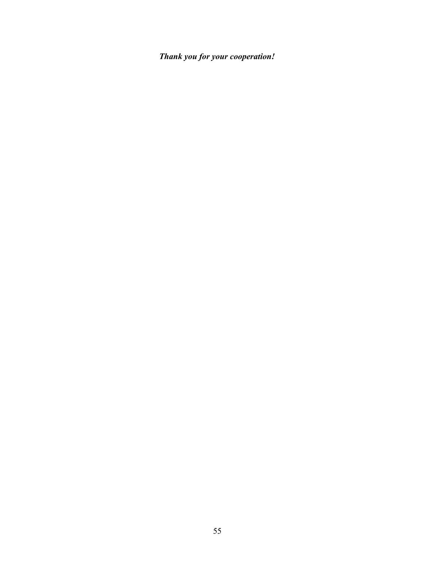*Thank you for your cooperation!*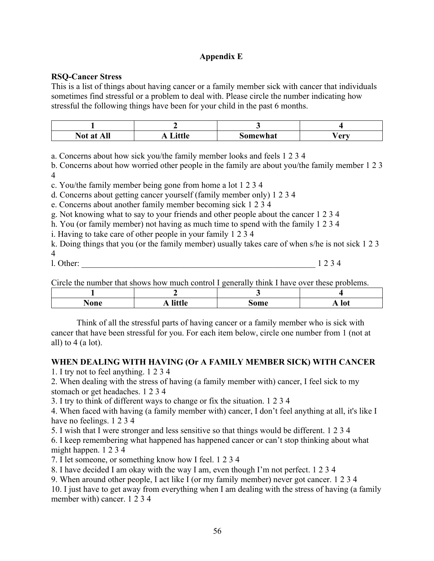## **Appendix E**

## **RSQ-Cancer Stress**

This is a list of things about having cancer or a family member sick with cancer that individuals sometimes find stressful or a problem to deal with. Please circle the number indicating how stressful the following things have been for your child in the past 6 months.

| ъT | $1.4\times 10^{-4}$ |         | $\mathbf{A}\mathbf{M}$ |
|----|---------------------|---------|------------------------|
| .  | --- - - -           | omewhat |                        |

a. Concerns about how sick you/the family member looks and feels 1 2 3 4

b. Concerns about how worried other people in the family are about you/the family member 1 2 3 4

c. You/the family member being gone from home a lot 1 2 3 4

d. Concerns about getting cancer yourself (family member only) 1 2 3 4

e. Concerns about another family member becoming sick 1 2 3 4

g. Not knowing what to say to your friends and other people about the cancer 1 2 3 4

h. You (or family member) not having as much time to spend with the family 1 2 3 4

i. Having to take care of other people in your family 1 2 3 4

k. Doing things that you (or the family member) usually takes care of when s/he is not sick 1 2 3 4

l. Other: \_\_\_\_\_\_\_\_\_\_\_\_\_\_\_\_\_\_\_\_\_\_\_\_\_\_\_\_\_\_\_\_\_\_\_\_\_\_\_\_\_\_\_\_\_\_\_\_\_\_\_\_\_\_\_ 1 2 3 4

Circle the number that shows how much control I generally think I have over these problems.

| محما<br>AOIL' | .<br>$\mathbf{r}$ none | $- - - -$<br>ı<br>шι<br>___ | $\sim$<br>11100 |  |
|---------------|------------------------|-----------------------------|-----------------|--|

Think of all the stressful parts of having cancer or a family member who is sick with cancer that have been stressful for you. For each item below, circle one number from 1 (not at all) to 4 (a lot).

## **WHEN DEALING WITH HAVING (Or A FAMILY MEMBER SICK) WITH CANCER**

1. I try not to feel anything. 1 2 3 4

2. When dealing with the stress of having (a family member with) cancer, I feel sick to my stomach or get headaches. 1 2 3 4

3. I try to think of different ways to change or fix the situation. 1 2 3 4

4. When faced with having (a family member with) cancer, I don't feel anything at all, it's like I have no feelings. 1 2 3 4

5. I wish that I were stronger and less sensitive so that things would be different. 1 2 3 4

6. I keep remembering what happened has happened cancer or can't stop thinking about what might happen. 1 2 3 4

7. I let someone, or something know how I feel. 1 2 3 4

8. I have decided I am okay with the way I am, even though I'm not perfect. 1 2 3 4

9. When around other people, I act like I (or my family member) never got cancer. 1 2 3 4

10. I just have to get away from everything when I am dealing with the stress of having (a family member with) cancer. 1 2 3 4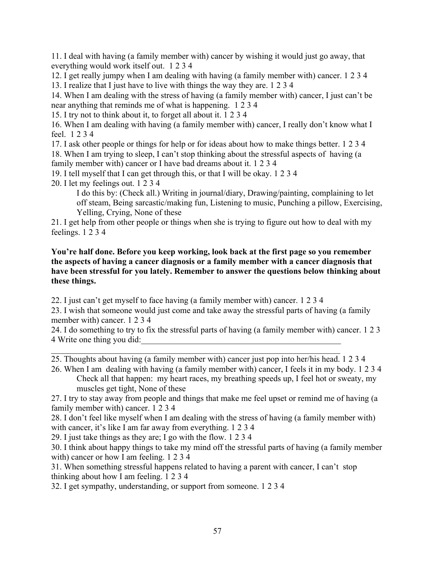11. I deal with having (a family member with) cancer by wishing it would just go away, that everything would work itself out. 1 2 3 4

12. I get really jumpy when I am dealing with having (a family member with) cancer. 1 2 3 4 13. I realize that I just have to live with things the way they are. 1 2 3 4

14. When I am dealing with the stress of having (a family member with) cancer, I just can't be near anything that reminds me of what is happening. 1 2 3 4

15. I try not to think about it, to forget all about it. 1 2 3 4

16. When I am dealing with having (a family member with) cancer, I really don't know what I feel. 1 2 3 4

17. I ask other people or things for help or for ideas about how to make things better. 1 2 3 4 18. When I am trying to sleep, I can't stop thinking about the stressful aspects of having (a family member with) cancer or I have bad dreams about it. 1 2 3 4

19. I tell myself that I can get through this, or that I will be okay. 1 2 3 4

20. I let my feelings out. 1 2 3 4

I do this by: (Check all.) Writing in journal/diary, Drawing/painting, complaining to let off steam, Being sarcastic/making fun, Listening to music, Punching a pillow, Exercising, Yelling, Crying, None of these

21. I get help from other people or things when she is trying to figure out how to deal with my feelings. 1 2 3 4

## **You're half done. Before you keep working, look back at the first page so you remember the aspects of having a cancer diagnosis or a family member with a cancer diagnosis that have been stressful for you lately. Remember to answer the questions below thinking about these things.**

22. I just can't get myself to face having (a family member with) cancer. 1 2 3 4

23. I wish that someone would just come and take away the stressful parts of having (a family member with) cancer. 1 2 3 4

24. I do something to try to fix the stressful parts of having (a family member with) cancer. 1 2 3 4 Write one thing you did:\_\_\_\_\_\_\_\_\_\_\_\_\_\_\_\_\_\_\_\_\_\_\_\_\_\_\_\_\_\_\_\_\_\_\_\_\_\_\_\_\_\_\_\_\_\_\_

25. Thoughts about having (a family member with) cancer just pop into her/his head. 1 2 3 4

26. When I am dealing with having (a family member with) cancer, I feels it in my body. 1 2 3 4 Check all that happen: my heart races, my breathing speeds up, I feel hot or sweaty, my muscles get tight, None of these

27. I try to stay away from people and things that make me feel upset or remind me of having (a family member with) cancer. 1 2 3 4

28. I don't feel like myself when I am dealing with the stress of having (a family member with) with cancer, it's like I am far away from everything. 1 2 3 4

29. I just take things as they are; I go with the flow. 1 2 3 4

30. I think about happy things to take my mind off the stressful parts of having (a family member with) cancer or how I am feeling. 1 2 3 4

31. When something stressful happens related to having a parent with cancer, I can't stop thinking about how I am feeling. 1 2 3 4

32. I get sympathy, understanding, or support from someone. 1 2 3 4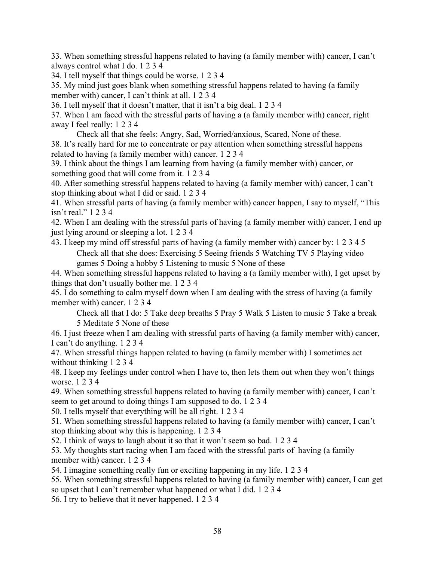33. When something stressful happens related to having (a family member with) cancer, I can't always control what I do. 1 2 3 4

34. I tell myself that things could be worse. 1 2 3 4

35. My mind just goes blank when something stressful happens related to having (a family member with) cancer, I can't think at all. 1 2 3 4

36. I tell myself that it doesn't matter, that it isn't a big deal. 1 2 3 4

37. When I am faced with the stressful parts of having a (a family member with) cancer, right away I feel really: 1 2 3 4

Check all that she feels: Angry, Sad, Worried/anxious, Scared, None of these. 38. It's really hard for me to concentrate or pay attention when something stressful happens related to having (a family member with) cancer. 1 2 3 4

39. I think about the things I am learning from having (a family member with) cancer, or something good that will come from it. 1 2 3 4

40. After something stressful happens related to having (a family member with) cancer, I can't stop thinking about what I did or said. 1 2 3 4

41. When stressful parts of having (a family member with) cancer happen, I say to myself, "This isn't real." 1 2 3 4

42. When I am dealing with the stressful parts of having (a family member with) cancer, I end up just lying around or sleeping a lot. 1 2 3 4

43. I keep my mind off stressful parts of having (a family member with) cancer by: 1 2 3 4 5 Check all that she does: Exercising 5 Seeing friends 5 Watching TV 5 Playing video games 5 Doing a hobby 5 Listening to music 5 None of these

44. When something stressful happens related to having a (a family member with), I get upset by things that don't usually bother me. 1 2 3 4

45. I do something to calm myself down when I am dealing with the stress of having (a family member with) cancer. 1 2 3 4

Check all that I do: 5 Take deep breaths 5 Pray 5 Walk 5 Listen to music 5 Take a break 5 Meditate 5 None of these

46. I just freeze when I am dealing with stressful parts of having (a family member with) cancer, I can't do anything. 1 2 3 4

47. When stressful things happen related to having (a family member with) I sometimes act without thinking 1 2 3 4

48. I keep my feelings under control when I have to, then lets them out when they won't things worse. 1 2 3 4

49. When something stressful happens related to having (a family member with) cancer, I can't seem to get around to doing things I am supposed to do. 1 2 3 4

50. I tells myself that everything will be all right. 1 2 3 4

51. When something stressful happens related to having (a family member with) cancer, I can't stop thinking about why this is happening. 1 2 3 4

52. I think of ways to laugh about it so that it won't seem so bad. 1 2 3 4

53. My thoughts start racing when I am faced with the stressful parts of having (a family member with) cancer. 1 2 3 4

54. I imagine something really fun or exciting happening in my life. 1 2 3 4

55. When something stressful happens related to having (a family member with) cancer, I can get so upset that I can't remember what happened or what I did. 1 2 3 4

56. I try to believe that it never happened. 1 2 3 4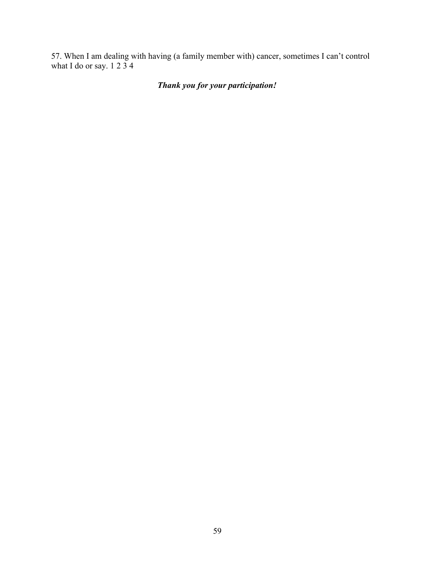57. When I am dealing with having (a family member with) cancer, sometimes I can't control what I do or say. 1 2 3 4

# *Thank you for your participation!*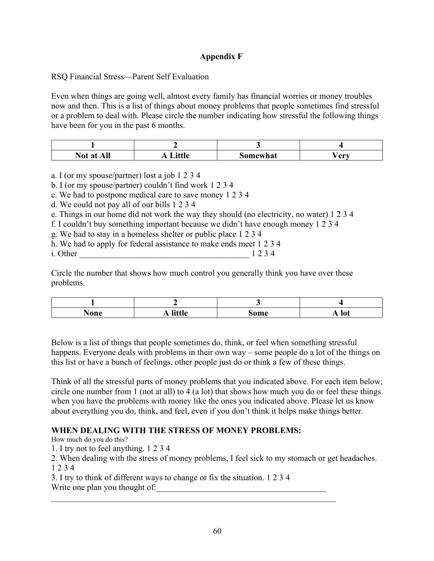## **Appendix F**

RSQ Financial Stress—Parent Self Evaluation

Even when things are going well, almost every family has financial worries or money troubles now and then. This is a list of things about money problems that people sometimes find stressful or a problem to deal with. Please circle the number indicating how stressful the following things have been for you in the past 6 months.

| $\blacksquare$<br>Not at<br><u>.</u> | 24AL<br>u | <b>Somewhat</b> | $\sqrt{\mathbf{a} \mathbf{r} \mathbf{v}}$<br>◡ |
|--------------------------------------|-----------|-----------------|------------------------------------------------|

a. I (or my spouse/partner) lost a job 1 2 3 4

b. I (or my spouse/partner) couldn't find work 1 2 3 4

c. We had to postpone medical care to save money 1 2 3 4

d. We could not pay all of our bills 1 2 3 4

e. Things in our home did not work the way they should (no electricity, no water) 1 2 3 4

f. I couldn't buy something important because we didn't have enough money 1 2 3 4

g. We had to stay in a homeless shelter or public place 1 2 3 4

h. We had to apply for federal assistance to make ends meet 1 2 3 4

i. Other \_\_\_\_\_\_\_\_\_\_\_\_\_\_\_\_\_\_\_\_\_\_\_\_\_\_\_\_\_\_\_\_\_\_\_\_\_\_\_\_ 1 2 3 4

Circle the number that shows how much control you generally think you have over these problems.

| None<br>$ -$ | 19771<br>. .<br>. | inme | ______ |
|--------------|-------------------|------|--------|

Below is a list of things that people sometimes do, think, or feel when something stressful happens. Everyone deals with problems in their own way – some people do a lot of the things on this list or have a bunch of feelings, other people just do or think a few of these things.

Think of all the stressful parts of money problems that you indicated above. For each item below, circle one number from 1 (not at all) to 4 (a lot) that shows how much you do or feel these things when you have the problems with money like the ones you indicated above. Please let us know about everything you do, think, and feel, even if you don't think it helps make things better.

## **WHEN DEALING WITH THE STRESS OF MONEY PROBLEMS:**

How much do you do this?

1. I try not to feel anything. 1 2 3 4

2. When dealing with the stress of money problems, I feel sick to my stomach or get headaches. 1 2 3 4

3. I try to think of different ways to change or fix the situation. 1 2 3 4 Write one plan you thought of:

 $\mathcal{L}_\mathcal{L} = \mathcal{L}_\mathcal{L} = \mathcal{L}_\mathcal{L} = \mathcal{L}_\mathcal{L} = \mathcal{L}_\mathcal{L} = \mathcal{L}_\mathcal{L} = \mathcal{L}_\mathcal{L} = \mathcal{L}_\mathcal{L} = \mathcal{L}_\mathcal{L} = \mathcal{L}_\mathcal{L} = \mathcal{L}_\mathcal{L} = \mathcal{L}_\mathcal{L} = \mathcal{L}_\mathcal{L} = \mathcal{L}_\mathcal{L} = \mathcal{L}_\mathcal{L} = \mathcal{L}_\mathcal{L} = \mathcal{L}_\mathcal{L}$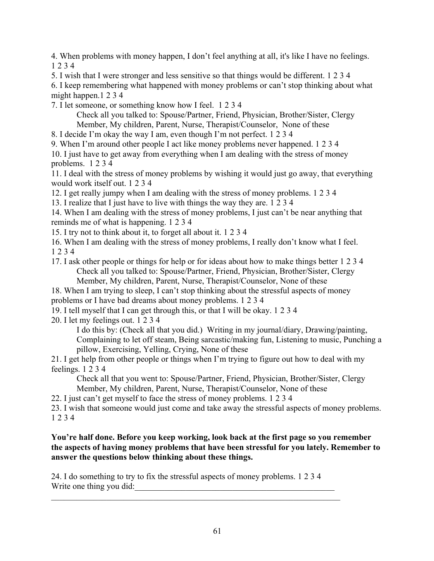4. When problems with money happen, I don't feel anything at all, it's like I have no feelings. 1 2 3 4

5. I wish that I were stronger and less sensitive so that things would be different. 1 2 3 4

6. I keep remembering what happened with money problems or can't stop thinking about what might happen.1 2 3 4

7. I let someone, or something know how I feel. 1 2 3 4

Check all you talked to: Spouse/Partner, Friend, Physician, Brother/Sister, Clergy Member, My children, Parent, Nurse, Therapist/Counselor, None of these

8. I decide I'm okay the way I am, even though I'm not perfect. 1 2 3 4

9. When I'm around other people I act like money problems never happened. 1 2 3 4 10. I just have to get away from everything when I am dealing with the stress of money problems. 1 2 3 4

11. I deal with the stress of money problems by wishing it would just go away, that everything would work itself out. 1 2 3 4

12. I get really jumpy when I am dealing with the stress of money problems. 1 2 3 4

13. I realize that I just have to live with things the way they are. 1 2 3 4

14. When I am dealing with the stress of money problems, I just can't be near anything that reminds me of what is happening. 1 2 3 4

15. I try not to think about it, to forget all about it. 1 2 3 4

16. When I am dealing with the stress of money problems, I really don't know what I feel. 1 2 3 4

17. I ask other people or things for help or for ideas about how to make things better 1 2 3 4 Check all you talked to: Spouse/Partner, Friend, Physician, Brother/Sister, Clergy Member, My children, Parent, Nurse, Therapist/Counselor, None of these

18. When I am trying to sleep, I can't stop thinking about the stressful aspects of money problems or I have bad dreams about money problems. 1 2 3 4

19. I tell myself that I can get through this, or that I will be okay. 1 2 3 4

20. I let my feelings out. 1 2 3 4

I do this by: (Check all that you did.) Writing in my journal/diary, Drawing/painting,

Complaining to let off steam, Being sarcastic/making fun, Listening to music, Punching a pillow, Exercising, Yelling, Crying, None of these

21. I get help from other people or things when I'm trying to figure out how to deal with my feelings. 1 2 3 4

Check all that you went to: Spouse/Partner, Friend, Physician, Brother/Sister, Clergy Member, My children, Parent, Nurse, Therapist/Counselor, None of these

22. I just can't get myself to face the stress of money problems. 1 2 3 4

23. I wish that someone would just come and take away the stressful aspects of money problems. 1 2 3 4

## **You're half done. Before you keep working, look back at the first page so you remember the aspects of having money problems that have been stressful for you lately. Remember to answer the questions below thinking about these things.**

24. I do something to try to fix the stressful aspects of money problems. 1 2 3 4 Write one thing you did: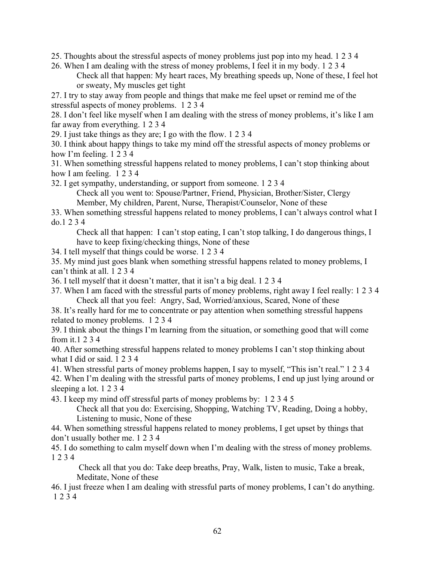25. Thoughts about the stressful aspects of money problems just pop into my head. 1 2 3 4

26. When I am dealing with the stress of money problems, I feel it in my body. 1 2 3 4 Check all that happen: My heart races, My breathing speeds up, None of these, I feel hot or sweaty, My muscles get tight

27. I try to stay away from people and things that make me feel upset or remind me of the stressful aspects of money problems. 1 2 3 4

28. I don't feel like myself when I am dealing with the stress of money problems, it's like I am far away from everything. 1 2 3 4

29. I just take things as they are; I go with the flow. 1 2 3 4

30. I think about happy things to take my mind off the stressful aspects of money problems or how I'm feeling. 1 2 3 4

31. When something stressful happens related to money problems, I can't stop thinking about how I am feeling. 1 2 3 4

32. I get sympathy, understanding, or support from someone. 1 2 3 4

Check all you went to: Spouse/Partner, Friend, Physician, Brother/Sister, Clergy Member, My children, Parent, Nurse, Therapist/Counselor, None of these

33. When something stressful happens related to money problems, I can't always control what I do.1 2 3 4

Check all that happen: I can't stop eating, I can't stop talking, I do dangerous things, I have to keep fixing/checking things, None of these

34. I tell myself that things could be worse. 1 2 3 4

35. My mind just goes blank when something stressful happens related to money problems, I can't think at all. 1 2 3 4

36. I tell myself that it doesn't matter, that it isn't a big deal. 1 2 3 4

37. When I am faced with the stressful parts of money problems, right away I feel really: 1 2 3 4 Check all that you feel: Angry, Sad, Worried/anxious, Scared, None of these

38. It's really hard for me to concentrate or pay attention when something stressful happens related to money problems. 1 2 3 4

39. I think about the things I'm learning from the situation, or something good that will come from it.1 2 3 4

40. After something stressful happens related to money problems I can't stop thinking about what I did or said. 1 2 3 4

41. When stressful parts of money problems happen, I say to myself, "This isn't real." 1 2 3 4 42. When I'm dealing with the stressful parts of money problems, I end up just lying around or sleeping a lot. 1 2 3 4

43. I keep my mind off stressful parts of money problems by: 1 2 3 4 5

Check all that you do: Exercising, Shopping, Watching TV, Reading, Doing a hobby, Listening to music, None of these

44. When something stressful happens related to money problems, I get upset by things that don't usually bother me. 1 2 3 4

45. I do something to calm myself down when I'm dealing with the stress of money problems. 1 2 3 4

Check all that you do: Take deep breaths, Pray, Walk, listen to music, Take a break, Meditate, None of these

46. I just freeze when I am dealing with stressful parts of money problems, I can't do anything. 1 2 3 4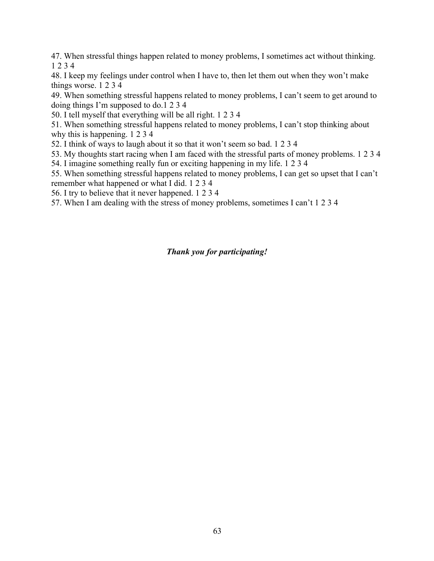47. When stressful things happen related to money problems, I sometimes act without thinking. 1 2 3 4

48. I keep my feelings under control when I have to, then let them out when they won't make things worse. 1 2 3 4

49. When something stressful happens related to money problems, I can't seem to get around to doing things I'm supposed to do.1 2 3 4

50. I tell myself that everything will be all right. 1 2 3 4

51. When something stressful happens related to money problems, I can't stop thinking about why this is happening. 1 2 3 4

52. I think of ways to laugh about it so that it won't seem so bad. 1 2 3 4

53. My thoughts start racing when I am faced with the stressful parts of money problems. 1 2 3 4

54. I imagine something really fun or exciting happening in my life. 1 2 3 4

55. When something stressful happens related to money problems, I can get so upset that I can't remember what happened or what I did. 1 2 3 4

56. I try to believe that it never happened. 1 2 3 4

57. When I am dealing with the stress of money problems, sometimes I can't 1 2 3 4

## *Thank you for participating!*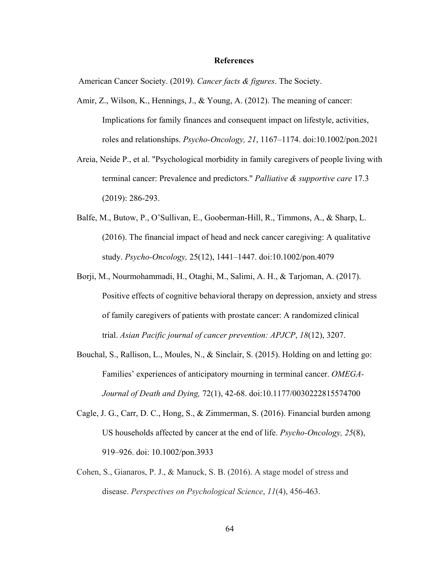#### **References**

American Cancer Society. (2019). *Cancer facts & figures*. The Society.

- Amir, Z., Wilson, K., Hennings, J., & Young, A. (2012). The meaning of cancer: Implications for family finances and consequent impact on lifestyle, activities, roles and relationships. *Psycho-Oncology, 21*, 1167–1174. doi:10.1002/pon.2021
- Areia, Neide P., et al. "Psychological morbidity in family caregivers of people living with terminal cancer: Prevalence and predictors." *Palliative & supportive care* 17.3 (2019): 286-293.
- Balfe, M., Butow, P., O'Sullivan, E., Gooberman-Hill, R., Timmons, A., & Sharp, L. (2016). The financial impact of head and neck cancer caregiving: A qualitative study. *Psycho-Oncology,* 25(12), 1441–1447. doi:10.1002/pon.4079
- Borji, M., Nourmohammadi, H., Otaghi, M., Salimi, A. H., & Tarjoman, A. (2017). Positive effects of cognitive behavioral therapy on depression, anxiety and stress of family caregivers of patients with prostate cancer: A randomized clinical trial. *Asian Pacific journal of cancer prevention: APJCP*, *18*(12), 3207.
- Bouchal, S., Rallison, L., Moules, N., & Sinclair, S. (2015). Holding on and letting go: Families' experiences of anticipatory mourning in terminal cancer. *OMEGA-Journal of Death and Dying,* 72(1), 42-68. doi:10.1177/0030222815574700
- Cagle, J. G., Carr, D. C., Hong, S., & Zimmerman, S. (2016). Financial burden among US households affected by cancer at the end of life. *Psycho-Oncology, 25*(8), 919–926. doi: 10.1002/pon.3933
- Cohen, S., Gianaros, P. J., & Manuck, S. B. (2016). A stage model of stress and disease. *Perspectives on Psychological Science*, *11*(4), 456-463.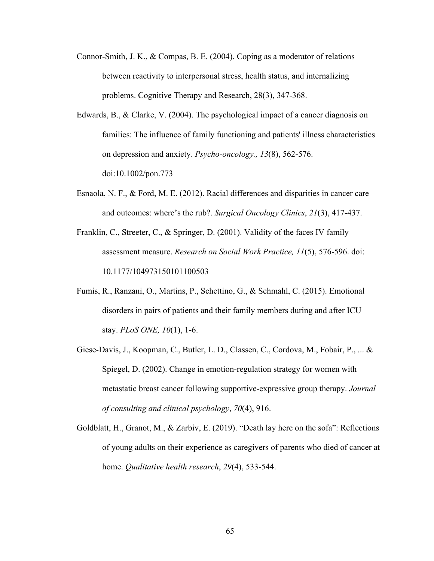- Connor-Smith, J. K., & Compas, B. E. (2004). Coping as a moderator of relations between reactivity to interpersonal stress, health status, and internalizing problems. Cognitive Therapy and Research, 28(3), 347-368.
- Edwards, B., & Clarke, V. (2004). The psychological impact of a cancer diagnosis on families: The influence of family functioning and patients' illness characteristics on depression and anxiety. *Psycho-oncology., 13*(8), 562-576. doi:10.1002/pon.773
- Esnaola, N. F., & Ford, M. E. (2012). Racial differences and disparities in cancer care and outcomes: where's the rub?. *Surgical Oncology Clinics*, *21*(3), 417-437.
- Franklin, C., Streeter, C., & Springer, D. (2001). Validity of the faces IV family assessment measure. *Research on Social Work Practice, 11*(5), 576-596. doi: 10.1177/104973150101100503
- Fumis, R., Ranzani, O., Martins, P., Schettino, G., & Schmahl, C. (2015). Emotional disorders in pairs of patients and their family members during and after ICU stay. *PLoS ONE, 10*(1), 1-6.
- Giese-Davis, J., Koopman, C., Butler, L. D., Classen, C., Cordova, M., Fobair, P., ... & Spiegel, D. (2002). Change in emotion-regulation strategy for women with metastatic breast cancer following supportive-expressive group therapy. *Journal of consulting and clinical psychology*, *70*(4), 916.
- Goldblatt, H., Granot, M., & Zarbiv, E. (2019). "Death lay here on the sofa": Reflections of young adults on their experience as caregivers of parents who died of cancer at home. *Qualitative health research*, *29*(4), 533-544.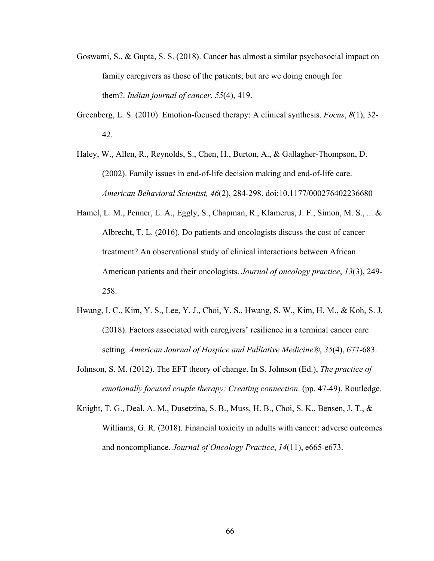- Goswami, S., & Gupta, S. S. (2018). Cancer has almost a similar psychosocial impact on family caregivers as those of the patients; but are we doing enough for them?. *Indian journal of cancer*, *55*(4), 419.
- Greenberg, L. S. (2010). Emotion-focused therapy: A clinical synthesis. *Focus*, *8*(1), 32- 42.
- Haley, W., Allen, R., Reynolds, S., Chen, H., Burton, A., & Gallagher-Thompson, D. (2002). Family issues in end-of-life decision making and end-of-life care. *American Behavioral Scientist, 46*(2), 284-298. doi:10.1177/000276402236680
- Hamel, L. M., Penner, L. A., Eggly, S., Chapman, R., Klamerus, J. F., Simon, M. S., ... & Albrecht, T. L. (2016). Do patients and oncologists discuss the cost of cancer treatment? An observational study of clinical interactions between African American patients and their oncologists. *Journal of oncology practice*, *13*(3), 249- 258.
- Hwang, I. C., Kim, Y. S., Lee, Y. J., Choi, Y. S., Hwang, S. W., Kim, H. M., & Koh, S. J. (2018). Factors associated with caregivers' resilience in a terminal cancer care setting. *American Journal of Hospice and Palliative Medicine®*, *35*(4), 677-683.
- Johnson, S. M. (2012). The EFT theory of change. In S. Johnson (Ed.), *The practice of emotionally focused couple therapy: Creating connection*. (pp. 47-49). Routledge.
- Knight, T. G., Deal, A. M., Dusetzina, S. B., Muss, H. B., Choi, S. K., Bensen, J. T., & Williams, G. R. (2018). Financial toxicity in adults with cancer: adverse outcomes and noncompliance. *Journal of Oncology Practice*, *14*(11), e665-e673.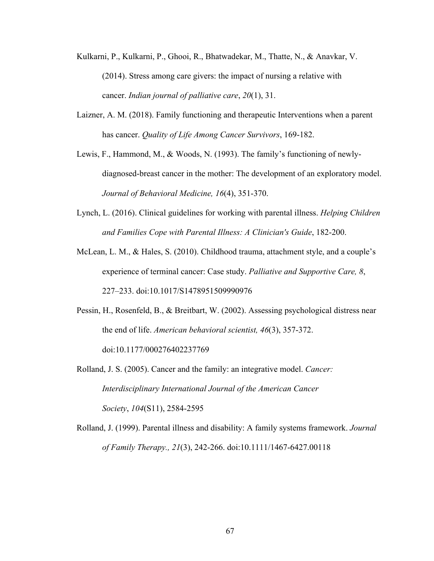- Kulkarni, P., Kulkarni, P., Ghooi, R., Bhatwadekar, M., Thatte, N., & Anavkar, V. (2014). Stress among care givers: the impact of nursing a relative with cancer. *Indian journal of palliative care*, *20*(1), 31.
- Laizner, A. M. (2018). Family functioning and therapeutic Interventions when a parent has cancer. *Quality of Life Among Cancer Survivors*, 169-182.
- Lewis, F., Hammond, M., & Woods, N. (1993). The family's functioning of newlydiagnosed-breast cancer in the mother: The development of an exploratory model. *Journal of Behavioral Medicine, 16*(4), 351-370.
- Lynch, L. (2016). Clinical guidelines for working with parental illness. *Helping Children and Families Cope with Parental Illness: A Clinician's Guide*, 182-200.
- McLean, L. M., & Hales, S. (2010). Childhood trauma, attachment style, and a couple's experience of terminal cancer: Case study. *Palliative and Supportive Care, 8*, 227–233. doi:10.1017/S1478951509990976
- Pessin, H., Rosenfeld, B., & Breitbart, W. (2002). Assessing psychological distress near the end of life. *American behavioral scientist, 46*(3), 357-372. doi:10.1177/000276402237769
- Rolland, J. S. (2005). Cancer and the family: an integrative model. *Cancer: Interdisciplinary International Journal of the American Cancer Society*, *104*(S11), 2584-2595
- Rolland, J. (1999). Parental illness and disability: A family systems framework. *Journal of Family Therapy., 21*(3), 242-266. doi:10.1111/1467-6427.00118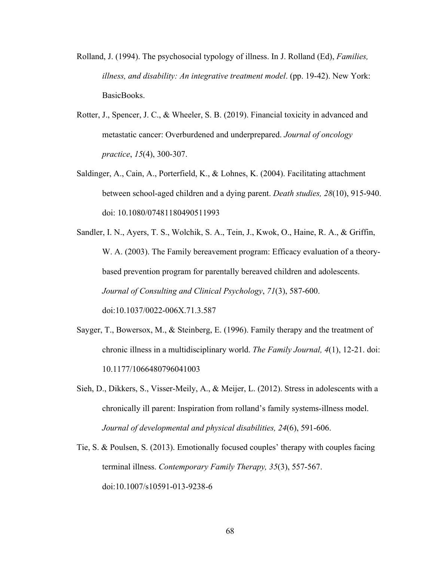- Rolland, J. (1994). The psychosocial typology of illness. In J. Rolland (Ed), *Families, illness, and disability: An integrative treatment model*. (pp. 19-42). New York: BasicBooks.
- Rotter, J., Spencer, J. C., & Wheeler, S. B. (2019). Financial toxicity in advanced and metastatic cancer: Overburdened and underprepared. *Journal of oncology practice*, *15*(4), 300-307.
- Saldinger, A., Cain, A., Porterfield, K., & Lohnes, K. (2004). Facilitating attachment between school-aged children and a dying parent. *Death studies, 28*(10), 915-940. doi: 10.1080/07481180490511993
- Sandler, I. N., Ayers, T. S., Wolchik, S. A., Tein, J., Kwok, O., Haine, R. A., & Griffin, W. A. (2003). The Family bereavement program: Efficacy evaluation of a theorybased prevention program for parentally bereaved children and adolescents. *Journal of Consulting and Clinical Psychology*, *71*(3), 587-600. doi:10.1037/0022-006X.71.3.587
- Sayger, T., Bowersox, M., & Steinberg, E. (1996). Family therapy and the treatment of chronic illness in a multidisciplinary world. *The Family Journal, 4*(1), 12-21. doi: 10.1177/1066480796041003
- Sieh, D., Dikkers, S., Visser-Meily, A., & Meijer, L. (2012). Stress in adolescents with a chronically ill parent: Inspiration from rolland's family systems-illness model. *Journal of developmental and physical disabilities, 24*(6), 591-606.
- Tie, S. & Poulsen, S. (2013). Emotionally focused couples' therapy with couples facing terminal illness. *Contemporary Family Therapy, 35*(3), 557-567. doi:10.1007/s10591-013-9238-6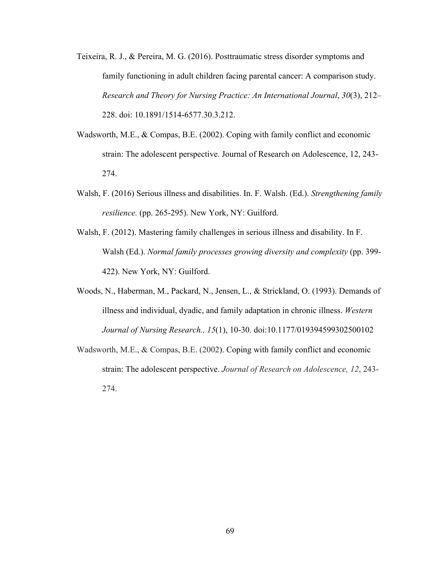- Teixeira, R. J., & Pereira, M. G. (2016). Posttraumatic stress disorder symptoms and family functioning in adult children facing parental cancer: A comparison study. *Research and Theory for Nursing Practice: An International Journal*, *30*(3), 212– 228. doi: 10.1891/1514-6577.30.3.212.
- Wadsworth, M.E., & Compas, B.E. (2002). Coping with family conflict and economic strain: The adolescent perspective. Journal of Research on Adolescence, 12, 243- 274.
- Walsh, F. (2016) Serious illness and disabilities. In. F. Walsh. (Ed.). *Strengthening family resilience.* (pp. 265-295). New York, NY: Guilford.
- Walsh, F. (2012). Mastering family challenges in serious illness and disability. In F. Walsh (Ed.). *Normal family processes growing diversity and complexity* (pp. 399- 422). New York, NY: Guilford.
- Woods, N., Haberman, M., Packard, N., Jensen, L., & Strickland, O. (1993). Demands of illness and individual, dyadic, and family adaptation in chronic illness. *Western Journal of Nursing Research., 15*(1), 10-30. doi:10.1177/019394599302500102
- Wadsworth, M.E., & Compas, B.E. (2002). Coping with family conflict and economic strain: The adolescent perspective. *Journal of Research on Adolescence, 12*, 243- 274.